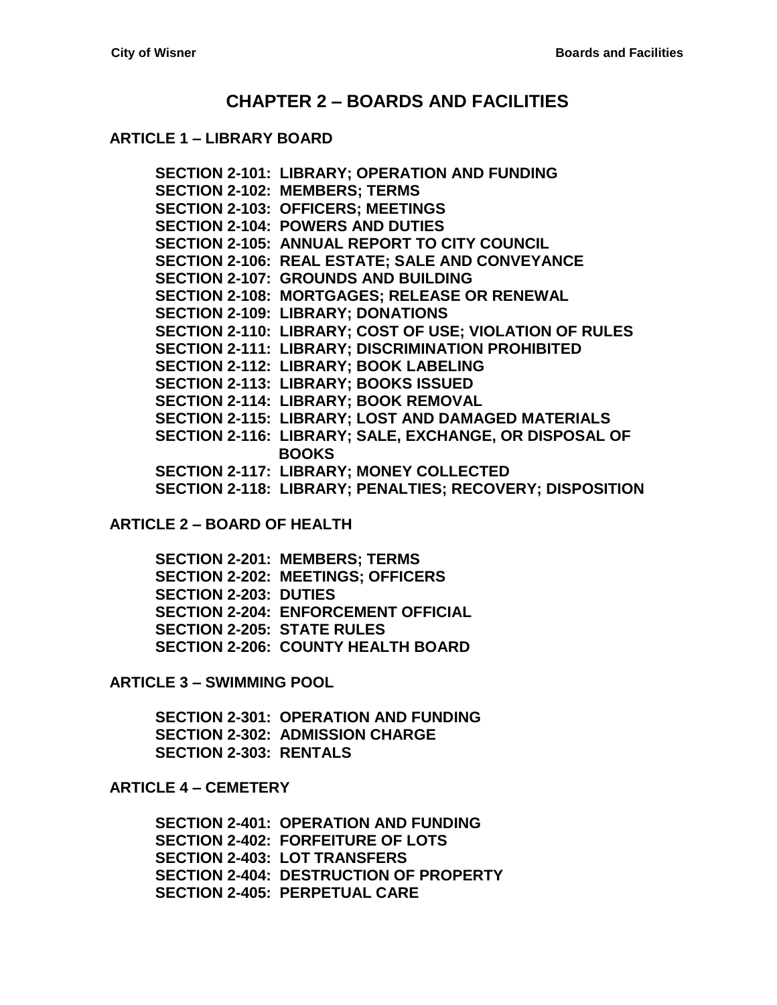## **CHAPTER 2 – [BOARDS AND FACILITIES](#page-4-0)**

#### **ARTICLE 1 – [LIBRARY BOARD](#page-4-1)**

**[SECTION 2-101: LIBRARY; OPERATION AND FUNDING](#page-4-2) [SECTION 2-102: MEMBERS; TERMS](#page-4-3) [SECTION 2-103: OFFICERS; MEETINGS](#page-4-4) [SECTION 2-104: POWERS AND DUTIES](#page-5-0) [SECTION 2-105: ANNUAL REPORT TO CITY COUNCIL](#page-5-1) [SECTION 2-106: REAL ESTATE; SALE AND CONVEYANCE](#page-6-0) [SECTION 2-107: GROUNDS AND BUILDING](#page-6-1) [SECTION 2-108: MORTGAGES; RELEASE OR RENEWAL](#page-6-2) [SECTION 2-109: LIBRARY; DONATIONS](#page-6-3) [SECTION 2-110: LIBRARY; COST OF USE; VIOLATION OF](#page-6-4) RULES [SECTION 2-111: LIBRARY; DISCRIMINATION PROHIBITED](#page-7-0) [SECTION 2-112: LIBRARY; BOOK LABELING](#page-7-1) [SECTION 2-113: LIBRARY; BOOKS](#page-7-2) ISSUED [SECTION 2-114: LIBRARY; BOOK REMOVAL](#page-8-0) [SECTION 2-115: LIBRARY; LOST AND DAMAGED MATERIALS](#page-8-1) [SECTION 2-116: LIBRARY; SALE,](#page-8-2) EXCHANGE, OR DISPOSAL OF [BOOKS](#page-8-2) [SECTION 2-117: LIBRARY; MONEY](#page-8-3) COLLECTED [SECTION 2-118: LIBRARY; PENALTIES; RECOVERY; DISPOSITION](#page-8-4)**

**ARTICLE 2 – BOARD OF HEALTH**

**[SECTION 2-201: MEMBERS; TERMS](#page-10-0) [SECTION 2-202: MEETINGS; OFFICERS](#page-10-1) [SECTION 2-203: DUTIES](#page-10-2) [SECTION 2-204: ENFORCEMENT OFFICIAL](#page-11-0) [SECTION 2-205: STATE RULES](#page-11-1) [SECTION 2-206: COUNTY HEALTH BOARD](#page-11-2)**

**ARTICLE 3 – [SWIMMING POOL](#page-12-0)**

**[SECTION 2-301: OPERATION AND FUNDING](#page-12-1) [SECTION 2-302: ADMISSION CHARGE](#page-12-2) [SECTION 2-303: RENTALS](#page-12-3)**

**[ARTICLE 4 –](#page-14-0) CEMETERY**

**[SECTION 2-401: OPERATION AND FUNDING](#page-14-1) [SECTION 2-402: FORFEITURE OF LOTS](#page-14-2) [SECTION 2-403: LOT TRANSFERS](#page-15-0) [SECTION 2-404: DESTRUCTION OF](#page-15-1) PROPERTY [SECTION 2-405: PERPETUAL CARE](#page-15-2)**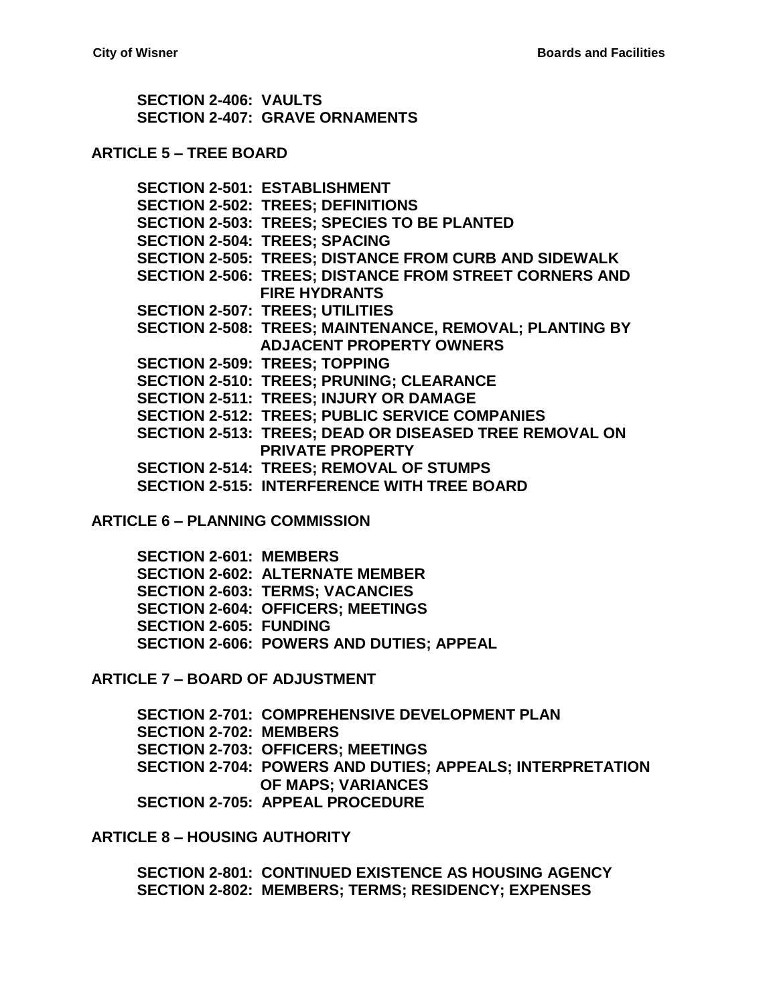**[SECTION 2-406: VAULTS](#page-16-0) [SECTION 2-407: GRAVE ORNAMENTS](#page-16-1)**

**ARTICLE 5 – [TREE BOARD](#page-18-0)**

**[SECTION 2-501: ESTABLISHMENT](#page-18-1) [SECTION 2-502: TREES; DEFINITIONS](#page-18-2) [SECTION 2-503: TREES; SPECIES](#page-18-3) TO BE PLANTED [SECTION 2-504: TREES; SPACING](#page-18-4) [SECTION 2-505: TREES; DISTANCE FROM CURB AND SIDEWALK](#page-19-0) [SECTION 2-506: TREES; DISTANCE FROM STREET CORNERS AND](#page-19-1)  [FIRE HYDRANTS](#page-19-1) [SECTION 2-507: TREES; UTILITIES](#page-19-2) [SECTION 2-508: TREES; MAINTENANCE, REMOVAL; PLANTING BY](#page-19-3)  [ADJACENT PROPERTY OWNERS](#page-19-3) [SECTION 2-509: TREES; TOPPING](#page-19-4) [SECTION 2-510: TREES; PRUNING; CLEARANCE](#page-20-0) [SECTION 2-511: TREES; INJURY OR DAMAGE](#page-20-1) [SECTION 2-512: TREES; PUBLIC SERVICE COMPANIES](#page-20-2) [SECTION 2-513: TREES; DEAD OR](#page-20-3) DISEASED TREE REMOVAL ON [PRIVATE PROPERTY](#page-20-3) [SECTION 2-514: TREES; REMOVAL](#page-21-0) OF STUMPS [SECTION 2-515: INTERFERENCE WITH TREE BOARD](#page-21-1)**

**ARTICLE 6 – [PLANNING COMMISSION](#page-22-0)**

**[SECTION 2-601: MEMBERS](#page-22-1) [SECTION 2-602: ALTERNATE MEMBER](#page-22-2) [SECTION 2-603: TERMS; VACANCIES](#page-22-3) [SECTION 2-604: OFFICERS; MEETINGS](#page-23-0) [SECTION 2-605: FUNDING](#page-23-1) [SECTION 2-606: POWERS AND DUTIES; APPEAL](#page-23-2)**

**ARTICLE 7 – [BOARD OF ADJUSTMENT](#page-26-0)**

**[SECTION 2-701: COMPREHENSIVE DEVELOPMENT PLAN](#page-26-1) [SECTION 2-702: MEMBERS](#page-26-2) [SECTION 2-703: OFFICERS; MEETINGS](#page-26-3) [SECTION 2-704: POWERS AND DUTIES; APPEALS; INTERPRETATION](#page-27-0)  [OF MAPS; VARIANCES](#page-27-0) [SECTION 2-705: APPEAL PROCEDURE](#page-29-0)**

**ARTICLE 8 – [HOUSING AUTHORITY](#page-30-0)**

**SECTION [2-801: CONTINUED EXISTENCE AS HOUSING AGENCY](#page-30-1) [SECTION 2-802: MEMBERS; TERMS; RESIDENCY; EXPENSES](#page-30-2)**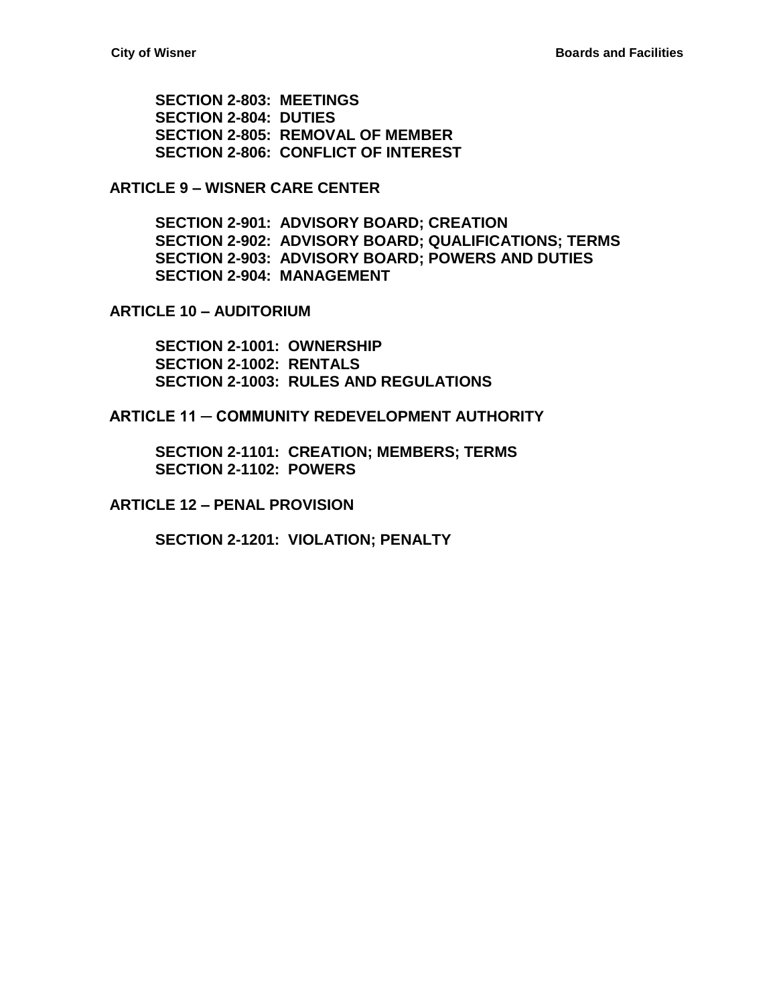**[SECTION 2-803: MEETINGS](#page-30-3) [SECTION 2-804: DUTIES](#page-31-0) [SECTION 2-805: REMOVAL OF MEMBER](#page-31-1) [SECTION 2-806: CONFLICT OF INTEREST](#page-31-2)**

**ARTICLE 9 – [WISNER CARE CENTER](#page-32-0)**

**[SECTION 2-901: ADVISORY BOARD; CREATION](#page-32-1) [SECTION 2-902: ADVISORY BOARD; QUALIFICATIONS; TERMS](#page-32-2) [SECTION 2-903: ADVISORY BOARD; POWERS AND DUTIES](#page-32-3) [SECTION 2-904: MANAGEMENT](#page-32-4)**

**[ARTICLE 10 –](#page-34-0) AUDITORIUM**

**[SECTION 2-1001: OWNERSHIP](#page-34-1) [SECTION 2-1002: RENTALS](#page-34-2) [SECTION 2-1003: RULES AND REGULATIONS](#page-34-3)**

**[ARTICLE 11 ─ COMMUNITY REDEVELOPMENT AUTHORITY](#page-36-0)**

**[SECTION 2-1101: CREATION; MEMBERS; TERMS](#page-36-1) [SECTION 2-1102: POWERS](#page-36-2)**

**ARTICLE 12 – [PENAL PROVISION](#page-38-0)**

**[SECTION 2-1201: VIOLATION; PENALTY](#page-38-1)**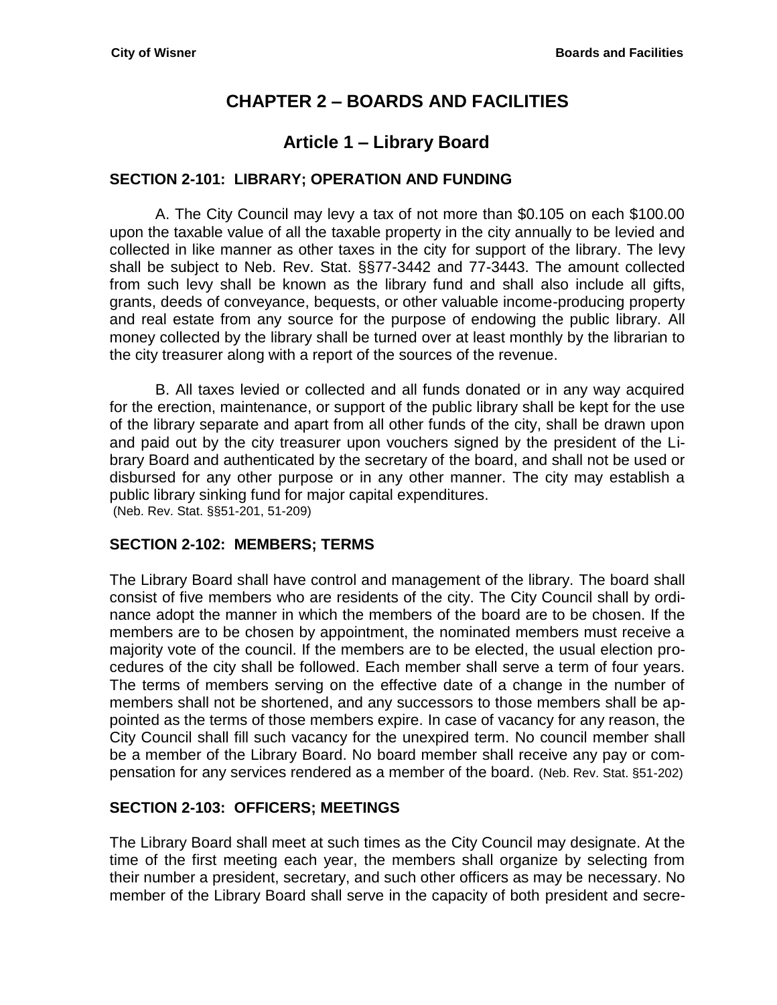# **CHAPTER 2 – BOARDS AND FACILITIES**

# **Article 1 – Library Board**

## <span id="page-4-2"></span><span id="page-4-1"></span><span id="page-4-0"></span>**SECTION 2-101: LIBRARY; OPERATION AND FUNDING**

A. The City Council may levy a tax of not more than \$0.105 on each \$100.00 upon the taxable value of all the taxable property in the city annually to be levied and collected in like manner as other taxes in the city for support of the library. The levy shall be subject to Neb. Rev. Stat. §§77-3442 and 77-3443. The amount collected from such levy shall be known as the library fund and shall also include all gifts, grants, deeds of conveyance, bequests, or other valuable income-producing property and real estate from any source for the purpose of endowing the public library. All money collected by the library shall be turned over at least monthly by the librarian to the city treasurer along with a report of the sources of the revenue.

B. All taxes levied or collected and all funds donated or in any way acquired for the erection, maintenance, or support of the public library shall be kept for the use of the library separate and apart from all other funds of the city, shall be drawn upon and paid out by the city treasurer upon vouchers signed by the president of the Library Board and authenticated by the secretary of the board, and shall not be used or disbursed for any other purpose or in any other manner. The city may establish a public library sinking fund for major capital expenditures.

(Neb. Rev. Stat. §§51-201, 51-209)

#### <span id="page-4-3"></span>**SECTION 2-102: MEMBERS; TERMS**

The Library Board shall have control and management of the library. The board shall consist of five members who are residents of the city. The City Council shall by ordinance adopt the manner in which the members of the board are to be chosen. If the members are to be chosen by appointment, the nominated members must receive a majority vote of the council. If the members are to be elected, the usual election procedures of the city shall be followed. Each member shall serve a term of four years. The terms of members serving on the effective date of a change in the number of members shall not be shortened, and any successors to those members shall be appointed as the terms of those members expire. In case of vacancy for any reason, the City Council shall fill such vacancy for the unexpired term. No council member shall be a member of the Library Board. No board member shall receive any pay or compensation for any services rendered as a member of the board. (Neb. Rev. Stat. §51-202)

#### <span id="page-4-4"></span>**SECTION 2-103: OFFICERS; MEETINGS**

The Library Board shall meet at such times as the City Council may designate. At the time of the first meeting each year, the members shall organize by selecting from their number a president, secretary, and such other officers as may be necessary. No member of the Library Board shall serve in the capacity of both president and secre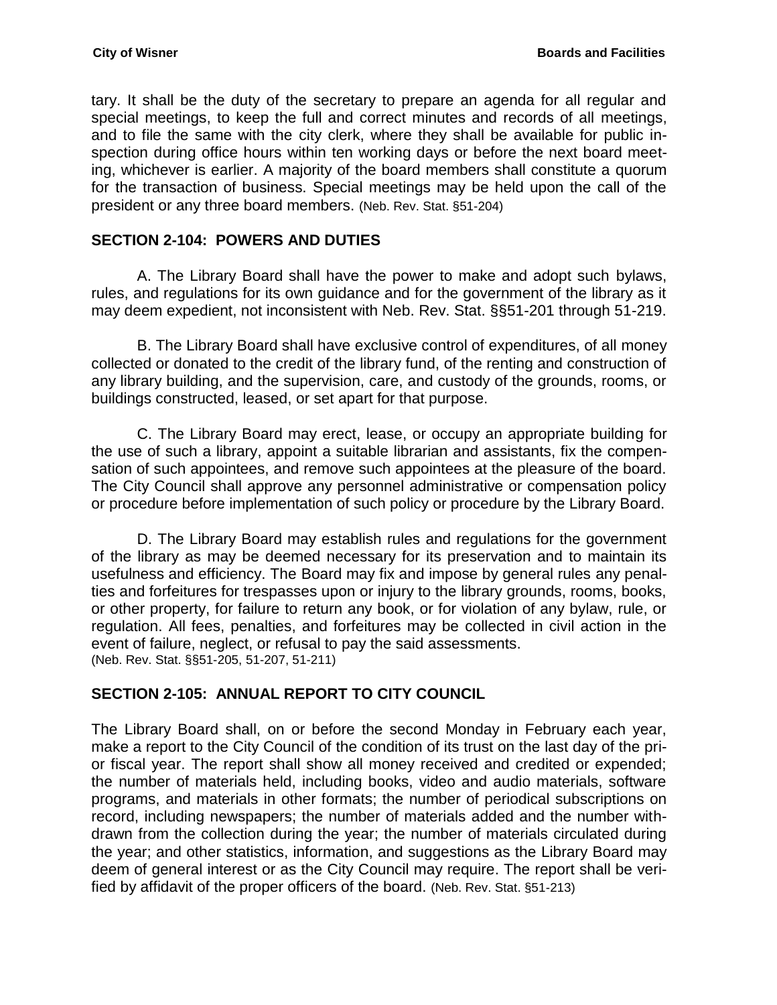tary. It shall be the duty of the secretary to prepare an agenda for all regular and special meetings, to keep the full and correct minutes and records of all meetings, and to file the same with the city clerk, where they shall be available for public inspection during office hours within ten working days or before the next board meeting, whichever is earlier. A majority of the board members shall constitute a quorum for the transaction of business. Special meetings may be held upon the call of the president or any three board members. (Neb. Rev. Stat. §51-204)

## <span id="page-5-0"></span>**SECTION 2-104: POWERS AND DUTIES**

A. The Library Board shall have the power to make and adopt such bylaws, rules, and regulations for its own guidance and for the government of the library as it may deem expedient, not inconsistent with Neb. Rev. Stat. §§51-201 through 51-219.

B. The Library Board shall have exclusive control of expenditures, of all money collected or donated to the credit of the library fund, of the renting and construction of any library building, and the supervision, care, and custody of the grounds, rooms, or buildings constructed, leased, or set apart for that purpose.

C. The Library Board may erect, lease, or occupy an appropriate building for the use of such a library, appoint a suitable librarian and assistants, fix the compensation of such appointees, and remove such appointees at the pleasure of the board. The City Council shall approve any personnel administrative or compensation policy or procedure before implementation of such policy or procedure by the Library Board.

D. The Library Board may establish rules and regulations for the government of the library as may be deemed necessary for its preservation and to maintain its usefulness and efficiency. The Board may fix and impose by general rules any penalties and forfeitures for trespasses upon or injury to the library grounds, rooms, books, or other property, for failure to return any book, or for violation of any bylaw, rule, or regulation. All fees, penalties, and forfeitures may be collected in civil action in the event of failure, neglect, or refusal to pay the said assessments. (Neb. Rev. Stat. §§51-205, 51-207, 51-211)

## <span id="page-5-1"></span>**SECTION 2-105: ANNUAL REPORT TO CITY COUNCIL**

The Library Board shall, on or before the second Monday in February each year, make a report to the City Council of the condition of its trust on the last day of the prior fiscal year. The report shall show all money received and credited or expended; the number of materials held, including books, video and audio materials, software programs, and materials in other formats; the number of periodical subscriptions on record, including newspapers; the number of materials added and the number withdrawn from the collection during the year; the number of materials circulated during the year; and other statistics, information, and suggestions as the Library Board may deem of general interest or as the City Council may require. The report shall be verified by affidavit of the proper officers of the board. (Neb. Rev. Stat. §51-213)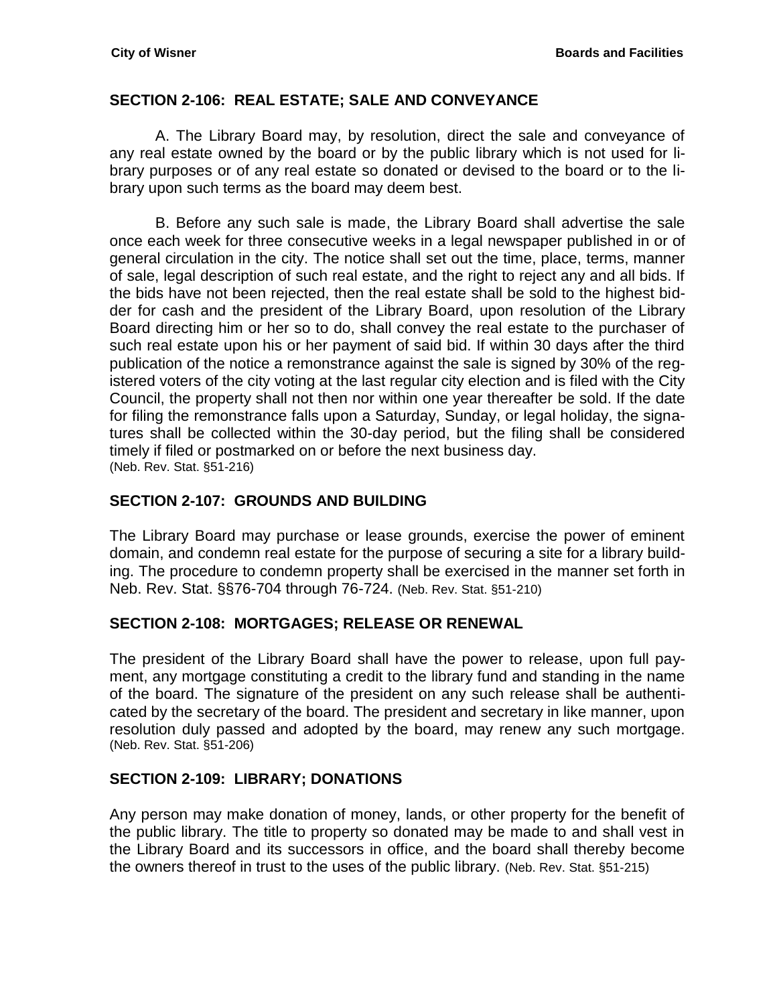## <span id="page-6-0"></span>**SECTION 2-106: REAL ESTATE; SALE AND CONVEYANCE**

A. The Library Board may, by resolution, direct the sale and conveyance of any real estate owned by the board or by the public library which is not used for library purposes or of any real estate so donated or devised to the board or to the library upon such terms as the board may deem best.

B. Before any such sale is made, the Library Board shall advertise the sale once each week for three consecutive weeks in a legal newspaper published in or of general circulation in the city. The notice shall set out the time, place, terms, manner of sale, legal description of such real estate, and the right to reject any and all bids. If the bids have not been rejected, then the real estate shall be sold to the highest bidder for cash and the president of the Library Board, upon resolution of the Library Board directing him or her so to do, shall convey the real estate to the purchaser of such real estate upon his or her payment of said bid. If within 30 days after the third publication of the notice a remonstrance against the sale is signed by 30% of the registered voters of the city voting at the last regular city election and is filed with the City Council, the property shall not then nor within one year thereafter be sold. If the date for filing the remonstrance falls upon a Saturday, Sunday, or legal holiday, the signatures shall be collected within the 30-day period, but the filing shall be considered timely if filed or postmarked on or before the next business day. (Neb. Rev. Stat. §51-216)

## <span id="page-6-1"></span>**SECTION 2-107: GROUNDS AND BUILDING**

The Library Board may purchase or lease grounds, exercise the power of eminent domain, and condemn real estate for the purpose of securing a site for a library building. The procedure to condemn property shall be exercised in the manner set forth in Neb. Rev. Stat. §§76-704 through 76-724. (Neb. Rev. Stat. §51-210)

#### <span id="page-6-2"></span>**SECTION 2-108: MORTGAGES; RELEASE OR RENEWAL**

The president of the Library Board shall have the power to release, upon full payment, any mortgage constituting a credit to the library fund and standing in the name of the board. The signature of the president on any such release shall be authenticated by the secretary of the board. The president and secretary in like manner, upon resolution duly passed and adopted by the board, may renew any such mortgage. (Neb. Rev. Stat. §51-206)

#### <span id="page-6-3"></span>**SECTION 2-109: LIBRARY; DONATIONS**

<span id="page-6-4"></span>Any person may make donation of money, lands, or other property for the benefit of the public library. The title to property so donated may be made to and shall vest in the Library Board and its successors in office, and the board shall thereby become the owners thereof in trust to the uses of the public library. (Neb. Rev. Stat. §51-215)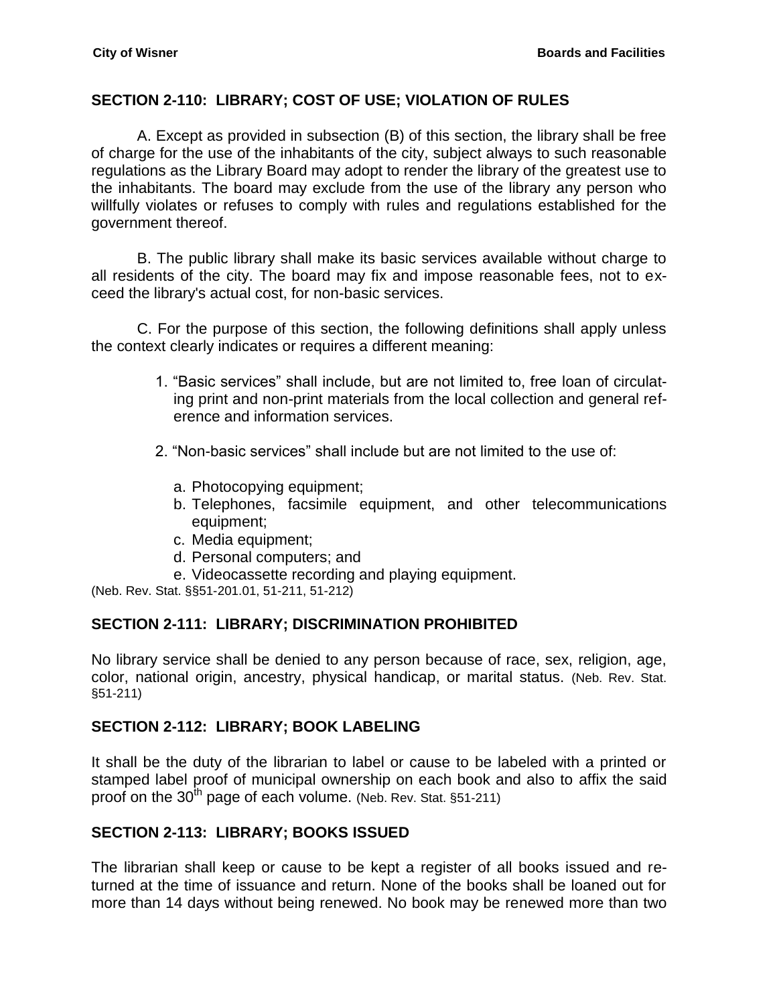## **SECTION 2-110: LIBRARY; COST OF USE; VIOLATION OF RULES**

A. Except as provided in subsection (B) of this section, the library shall be free of charge for the use of the inhabitants of the city, subject always to such reasonable regulations as the Library Board may adopt to render the library of the greatest use to the inhabitants. The board may exclude from the use of the library any person who willfully violates or refuses to comply with rules and regulations established for the government thereof.

B. The public library shall make its basic services available without charge to all residents of the city. The board may fix and impose reasonable fees, not to exceed the library's actual cost, for non-basic services.

C. For the purpose of this section, the following definitions shall apply unless the context clearly indicates or requires a different meaning:

- 1. "Basic services" shall include, but are not limited to, free loan of circulating print and non-print materials from the local collection and general reference and information services.
- 2. "Non-basic services" shall include but are not limited to the use of:
	- a. Photocopying equipment;
	- b. Telephones, facsimile equipment, and other telecommunications equipment;
	- c. Media equipment;
	- d. Personal computers; and
	- e. Videocassette recording and playing equipment.

(Neb. Rev. Stat. §§51-201.01, 51-211, 51-212)

## <span id="page-7-0"></span>**SECTION 2-111: LIBRARY; DISCRIMINATION PROHIBITED**

No library service shall be denied to any person because of race, sex, religion, age, color, national origin, ancestry, physical handicap, or marital status. (Neb. Rev. Stat. §51-211)

#### <span id="page-7-1"></span>**SECTION 2-112: LIBRARY; BOOK LABELING**

It shall be the duty of the librarian to label or cause to be labeled with a printed or stamped label proof of municipal ownership on each book and also to affix the said proof on the  $30<sup>th</sup>$  page of each volume. (Neb. Rev. Stat. §51-211)

## <span id="page-7-2"></span>**SECTION 2-113: LIBRARY; BOOKS ISSUED**

The librarian shall keep or cause to be kept a register of all books issued and returned at the time of issuance and return. None of the books shall be loaned out for more than 14 days without being renewed. No book may be renewed more than two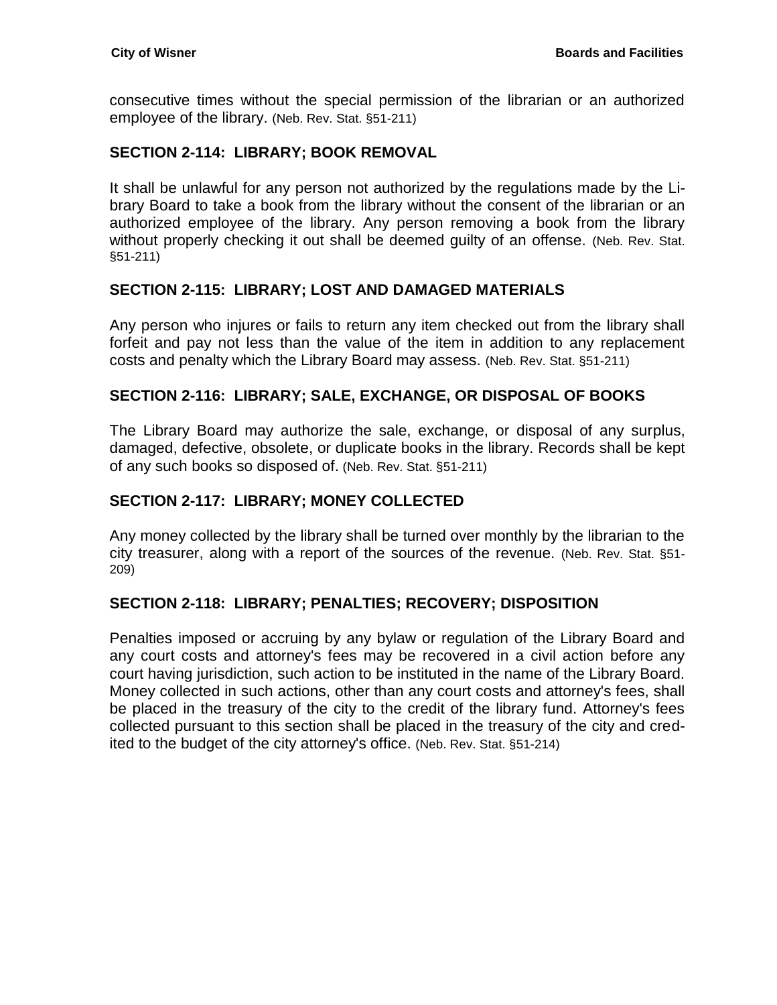consecutive times without the special permission of the librarian or an authorized employee of the library. (Neb. Rev. Stat. §51-211)

#### <span id="page-8-0"></span>**SECTION 2-114: LIBRARY; BOOK REMOVAL**

It shall be unlawful for any person not authorized by the regulations made by the Library Board to take a book from the library without the consent of the librarian or an authorized employee of the library. Any person removing a book from the library without properly checking it out shall be deemed guilty of an offense. (Neb. Rev. Stat. §51-211)

## <span id="page-8-1"></span>**SECTION 2-115: LIBRARY; LOST AND DAMAGED MATERIALS**

Any person who injures or fails to return any item checked out from the library shall forfeit and pay not less than the value of the item in addition to any replacement costs and penalty which the Library Board may assess. (Neb. Rev. Stat. §51-211)

## <span id="page-8-2"></span>**SECTION 2-116: LIBRARY; SALE, EXCHANGE, OR DISPOSAL OF BOOKS**

The Library Board may authorize the sale, exchange, or disposal of any surplus, damaged, defective, obsolete, or duplicate books in the library. Records shall be kept of any such books so disposed of. (Neb. Rev. Stat. §51-211)

## <span id="page-8-3"></span>**SECTION 2-117: LIBRARY; MONEY COLLECTED**

Any money collected by the library shall be turned over monthly by the librarian to the city treasurer, along with a report of the sources of the revenue. (Neb. Rev. Stat. §51- 209)

#### <span id="page-8-4"></span>**SECTION 2-118: LIBRARY; PENALTIES; RECOVERY; DISPOSITION**

Penalties imposed or accruing by any bylaw or regulation of the Library Board and any court costs and attorney's fees may be recovered in a civil action before any court having jurisdiction, such action to be instituted in the name of the Library Board. Money collected in such actions, other than any court costs and attorney's fees, shall be placed in the treasury of the city to the credit of the library fund. Attorney's fees collected pursuant to this section shall be placed in the treasury of the city and credited to the budget of the city attorney's office. (Neb. Rev. Stat. §51-214)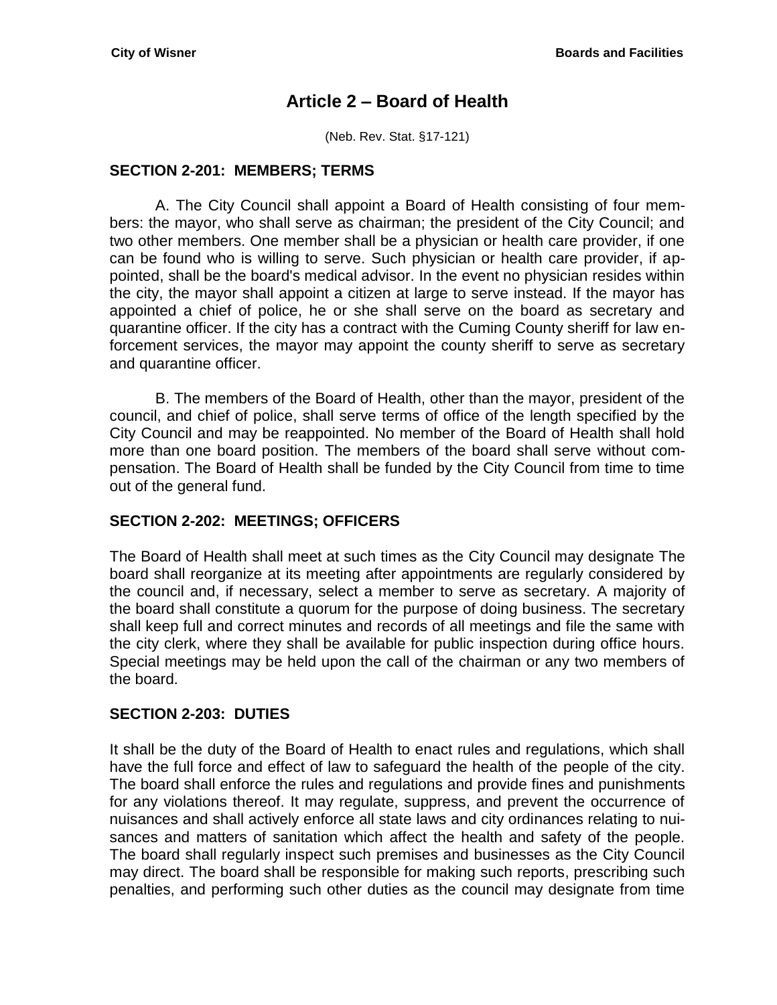# **Article 2 – Board of Health**

(Neb. Rev. Stat. §17-121)

#### <span id="page-10-0"></span>**SECTION 2-201: MEMBERS; TERMS**

A. The City Council shall appoint a Board of Health consisting of four members: the mayor, who shall serve as chairman; the president of the City Council; and two other members. One member shall be a physician or health care provider, if one can be found who is willing to serve. Such physician or health care provider, if appointed, shall be the board's medical advisor. In the event no physician resides within the city, the mayor shall appoint a citizen at large to serve instead. If the mayor has appointed a chief of police, he or she shall serve on the board as secretary and quarantine officer. If the city has a contract with the Cuming County sheriff for law enforcement services, the mayor may appoint the county sheriff to serve as secretary and quarantine officer.

B. The members of the Board of Health, other than the mayor, president of the council, and chief of police, shall serve terms of office of the length specified by the City Council and may be reappointed. No member of the Board of Health shall hold more than one board position. The members of the board shall serve without compensation. The Board of Health shall be funded by the City Council from time to time out of the general fund.

#### <span id="page-10-1"></span>**SECTION 2-202: MEETINGS; OFFICERS**

The Board of Health shall meet at such times as the City Council may designate The board shall reorganize at its meeting after appointments are regularly considered by the council and, if necessary, select a member to serve as secretary. A majority of the board shall constitute a quorum for the purpose of doing business. The secretary shall keep full and correct minutes and records of all meetings and file the same with the city clerk, where they shall be available for public inspection during office hours. Special meetings may be held upon the call of the chairman or any two members of the board.

#### <span id="page-10-2"></span>**SECTION 2-203: DUTIES**

It shall be the duty of the Board of Health to enact rules and regulations, which shall have the full force and effect of law to safeguard the health of the people of the city. The board shall enforce the rules and regulations and provide fines and punishments for any violations thereof. It may regulate, suppress, and prevent the occurrence of nuisances and shall actively enforce all state laws and city ordinances relating to nuisances and matters of sanitation which affect the health and safety of the people. The board shall regularly inspect such premises and businesses as the City Council may direct. The board shall be responsible for making such reports, prescribing such penalties, and performing such other duties as the council may designate from time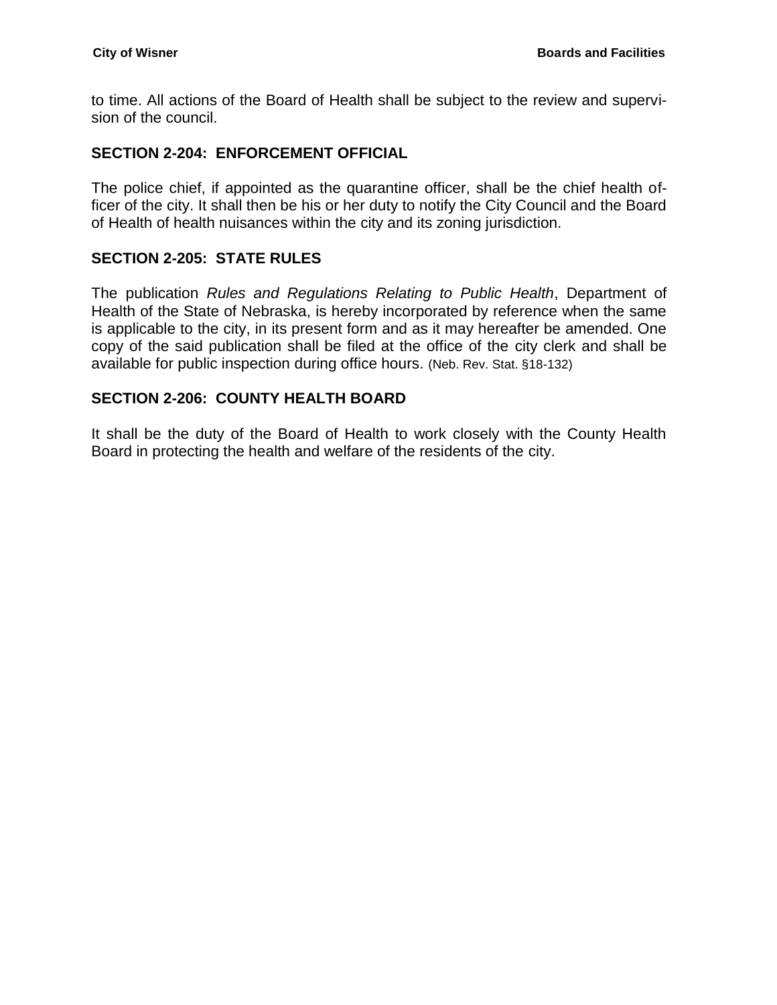to time. All actions of the Board of Health shall be subject to the review and supervision of the council.

## <span id="page-11-0"></span>**SECTION 2-204: ENFORCEMENT OFFICIAL**

The police chief, if appointed as the quarantine officer, shall be the chief health officer of the city. It shall then be his or her duty to notify the City Council and the Board of Health of health nuisances within the city and its zoning jurisdiction.

## <span id="page-11-1"></span>**SECTION 2-205: STATE RULES**

The publication *Rules and Regulations Relating to Public Health*, Department of Health of the State of Nebraska, is hereby incorporated by reference when the same is applicable to the city, in its present form and as it may hereafter be amended. One copy of the said publication shall be filed at the office of the city clerk and shall be available for public inspection during office hours. (Neb. Rev. Stat. §18-132)

## <span id="page-11-2"></span>**SECTION 2-206: COUNTY HEALTH BOARD**

It shall be the duty of the Board of Health to work closely with the County Health Board in protecting the health and welfare of the residents of the city.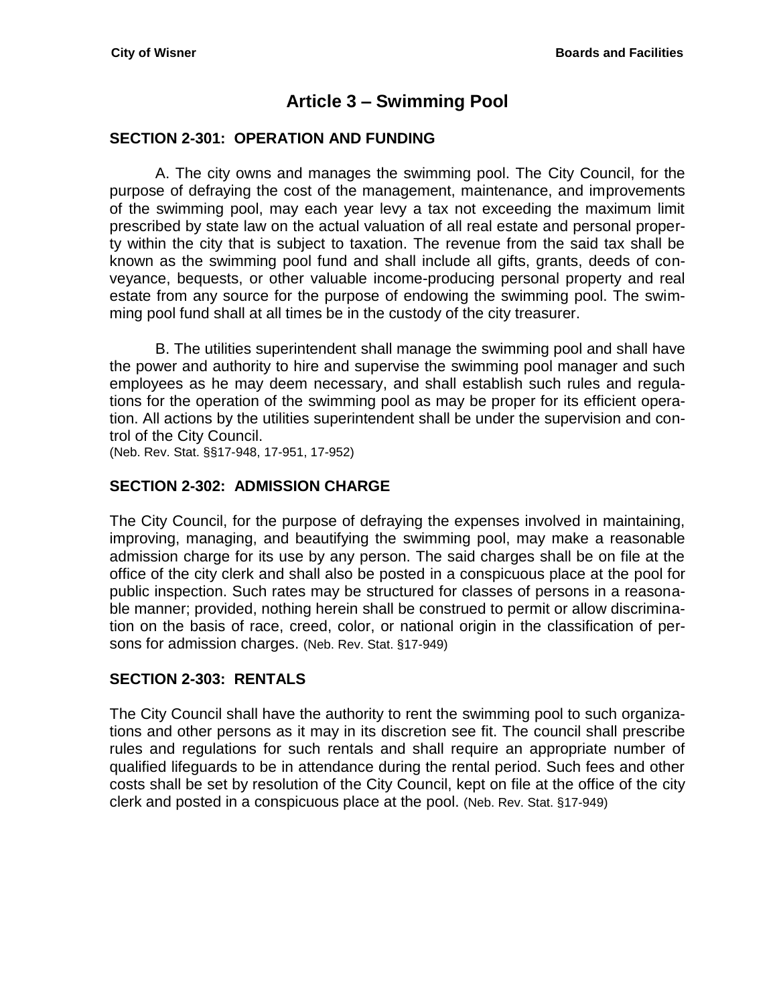# **Article 3 – Swimming Pool**

#### <span id="page-12-1"></span><span id="page-12-0"></span>**SECTION 2-301: OPERATION AND FUNDING**

A. The city owns and manages the swimming pool. The City Council, for the purpose of defraying the cost of the management, maintenance, and improvements of the swimming pool, may each year levy a tax not exceeding the maximum limit prescribed by state law on the actual valuation of all real estate and personal property within the city that is subject to taxation. The revenue from the said tax shall be known as the swimming pool fund and shall include all gifts, grants, deeds of conveyance, bequests, or other valuable income-producing personal property and real estate from any source for the purpose of endowing the swimming pool. The swimming pool fund shall at all times be in the custody of the city treasurer.

B. The utilities superintendent shall manage the swimming pool and shall have the power and authority to hire and supervise the swimming pool manager and such employees as he may deem necessary, and shall establish such rules and regulations for the operation of the swimming pool as may be proper for its efficient operation. All actions by the utilities superintendent shall be under the supervision and control of the City Council.

(Neb. Rev. Stat. §§17-948, 17-951, 17-952)

#### <span id="page-12-2"></span>**SECTION 2-302: ADMISSION CHARGE**

The City Council, for the purpose of defraying the expenses involved in maintaining, improving, managing, and beautifying the swimming pool, may make a reasonable admission charge for its use by any person. The said charges shall be on file at the office of the city clerk and shall also be posted in a conspicuous place at the pool for public inspection. Such rates may be structured for classes of persons in a reasonable manner; provided, nothing herein shall be construed to permit or allow discrimination on the basis of race, creed, color, or national origin in the classification of persons for admission charges. (Neb. Rev. Stat. §17-949)

#### <span id="page-12-3"></span>**SECTION 2-303: RENTALS**

The City Council shall have the authority to rent the swimming pool to such organizations and other persons as it may in its discretion see fit. The council shall prescribe rules and regulations for such rentals and shall require an appropriate number of qualified lifeguards to be in attendance during the rental period. Such fees and other costs shall be set by resolution of the City Council, kept on file at the office of the city clerk and posted in a conspicuous place at the pool. (Neb. Rev. Stat. §17-949)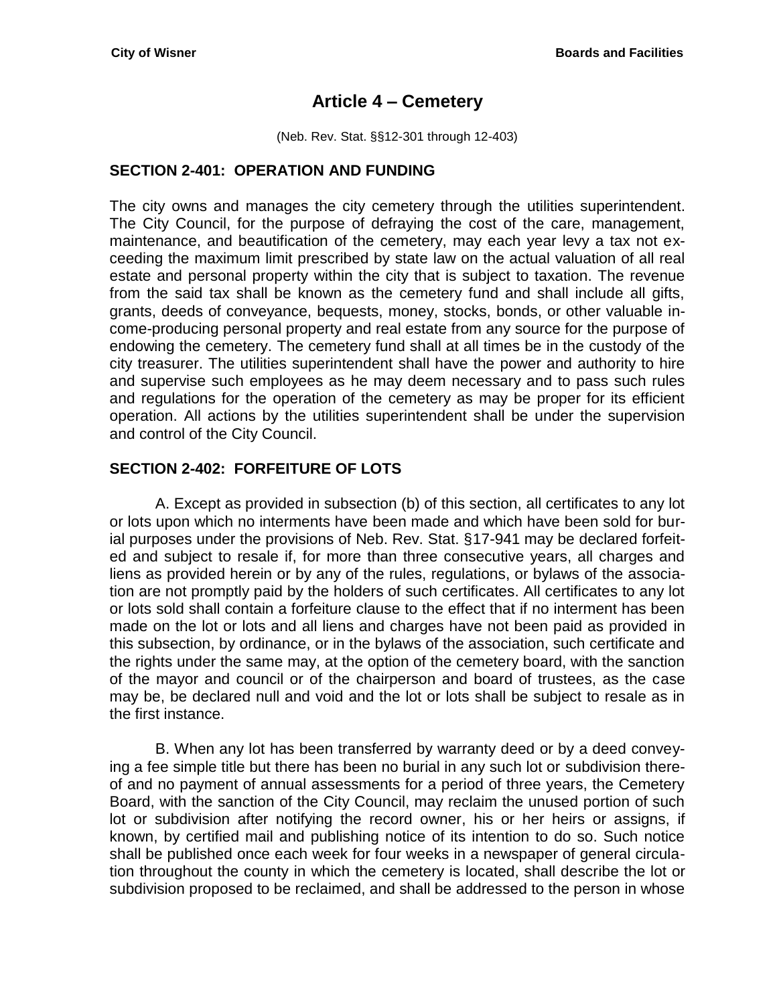# **Article 4 – Cemetery**

(Neb. Rev. Stat. §§12-301 through 12-403)

## <span id="page-14-1"></span><span id="page-14-0"></span>**SECTION 2-401: OPERATION AND FUNDING**

The city owns and manages the city cemetery through the utilities superintendent. The City Council, for the purpose of defraying the cost of the care, management, maintenance, and beautification of the cemetery, may each year levy a tax not exceeding the maximum limit prescribed by state law on the actual valuation of all real estate and personal property within the city that is subject to taxation. The revenue from the said tax shall be known as the cemetery fund and shall include all gifts, grants, deeds of conveyance, bequests, money, stocks, bonds, or other valuable income-producing personal property and real estate from any source for the purpose of endowing the cemetery. The cemetery fund shall at all times be in the custody of the city treasurer. The utilities superintendent shall have the power and authority to hire and supervise such employees as he may deem necessary and to pass such rules and regulations for the operation of the cemetery as may be proper for its efficient operation. All actions by the utilities superintendent shall be under the supervision and control of the City Council.

## <span id="page-14-2"></span>**SECTION 2-402: FORFEITURE OF LOTS**

A. Except as provided in subsection (b) of this section, all certificates to any lot or lots upon which no interments have been made and which have been sold for burial purposes under the provisions of Neb. Rev. Stat. [§17-941](http://casemakerlegal.com/bDocView.aspx?categoryAlias=STATUTES&state=NE&strdataType=STAT&catCalled=Statutes&statecd=NE&codesec=17-941&sessionyr=2017&Title=17&datatype=S&noheader=0&nojumpmsg=0) may be declared forfeited and subject to resale if, for more than three consecutive years, all charges and liens as provided herein or by any of the rules, regulations, or bylaws of the association are not promptly paid by the holders of such certificates. All certificates to any lot or lots sold shall contain a forfeiture clause to the effect that if no interment has been made on the lot or lots and all liens and charges have not been paid as provided in this subsection, by ordinance, or in the bylaws of the association, such certificate and the rights under the same may, at the option of the cemetery board, with the sanction of the mayor and council or of the chairperson and board of trustees, as the case may be, be declared null and void and the lot or lots shall be subject to resale as in the first instance.

B. When any lot has been transferred by warranty deed or by a deed conveying a fee simple title but there has been no burial in any such lot or subdivision thereof and no payment of annual assessments for a period of three years, the Cemetery Board, with the sanction of the City Council, may reclaim the unused portion of such lot or subdivision after notifying the record owner, his or her heirs or assigns, if known, by certified mail and publishing notice of its intention to do so. Such notice shall be published once each week for four weeks in a newspaper of general circulation throughout the county in which the cemetery is located, shall describe the lot or subdivision proposed to be reclaimed, and shall be addressed to the person in whose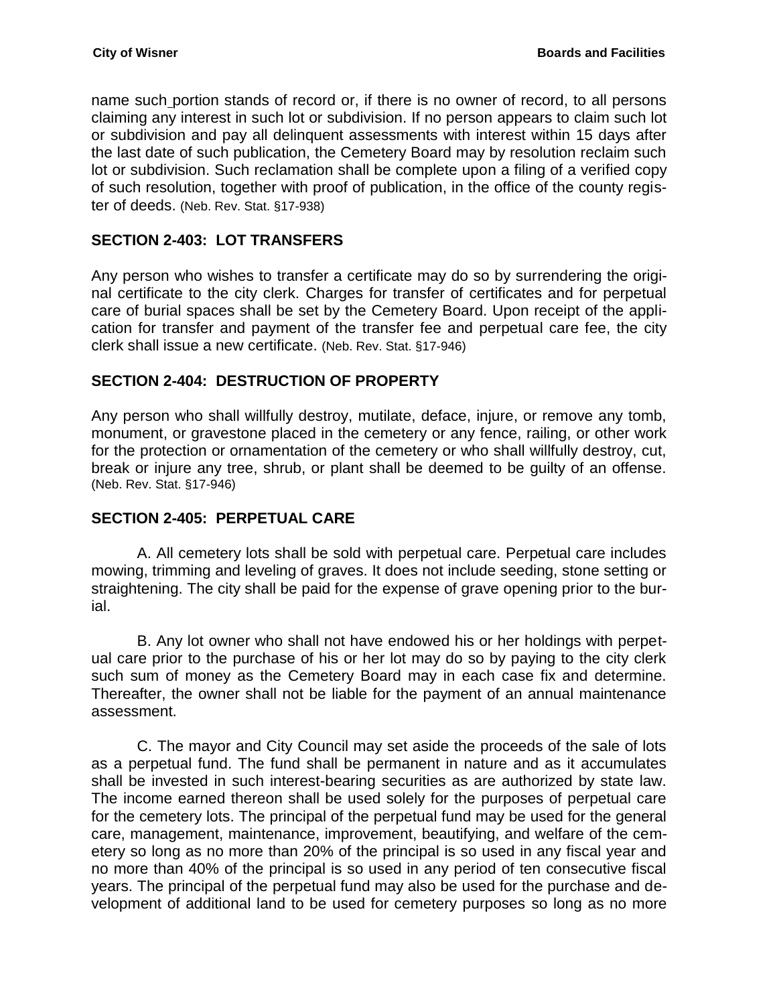name such portion stands of record or, if there is no owner of record, to all persons claiming any interest in such lot or subdivision. If no person appears to claim such lot or subdivision and pay all delinquent assessments with interest within 15 days after the last date of such publication, the Cemetery Board may by resolution reclaim such lot or subdivision. Such reclamation shall be complete upon a filing of a verified copy of such resolution, together with proof of publication, in the office of the county register of deeds. (Neb. Rev. Stat. §17-938)

## <span id="page-15-0"></span>**SECTION 2-403: LOT TRANSFERS**

Any person who wishes to transfer a certificate may do so by surrendering the original certificate to the city clerk. Charges for transfer of certificates and for perpetual care of burial spaces shall be set by the Cemetery Board. Upon receipt of the application for transfer and payment of the transfer fee and perpetual care fee, the city clerk shall issue a new certificate. (Neb. Rev. Stat. §17-946)

## <span id="page-15-1"></span>**SECTION 2-404: DESTRUCTION OF PROPERTY**

Any person who shall willfully destroy, mutilate, deface, injure, or remove any tomb, monument, or gravestone placed in the cemetery or any fence, railing, or other work for the protection or ornamentation of the cemetery or who shall willfully destroy, cut, break or injure any tree, shrub, or plant shall be deemed to be guilty of an offense. (Neb. Rev. Stat. §17-946)

## <span id="page-15-2"></span>**SECTION 2-405: PERPETUAL CARE**

A. All cemetery lots shall be sold with perpetual care. Perpetual care includes mowing, trimming and leveling of graves. It does not include seeding, stone setting or straightening. The city shall be paid for the expense of grave opening prior to the burial.

B. Any lot owner who shall not have endowed his or her holdings with perpetual care prior to the purchase of his or her lot may do so by paying to the city clerk such sum of money as the Cemetery Board may in each case fix and determine. Thereafter, the owner shall not be liable for the payment of an annual maintenance assessment.

C. The mayor and City Council may set aside the proceeds of the sale of lots as a perpetual fund. The fund shall be permanent in nature and as it accumulates shall be invested in such interest-bearing securities as are authorized by state law. The income earned thereon shall be used solely for the purposes of perpetual care for the cemetery lots. The principal of the perpetual fund may be used for the general care, management, maintenance, improvement, beautifying, and welfare of the cemetery so long as no more than 20% of the principal is so used in any fiscal year and no more than 40% of the principal is so used in any period of ten consecutive fiscal years. The principal of the perpetual fund may also be used for the purchase and development of additional land to be used for cemetery purposes so long as no more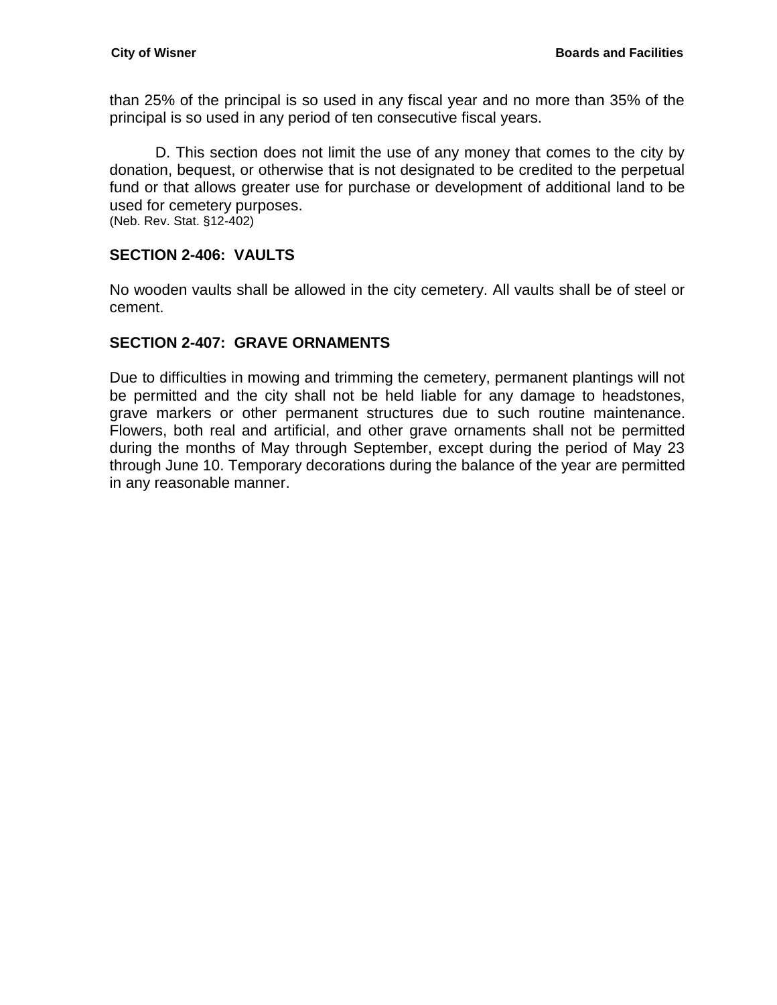than 25% of the principal is so used in any fiscal year and no more than 35% of the principal is so used in any period of ten consecutive fiscal years.

D. This section does not limit the use of any money that comes to the city by donation, bequest, or otherwise that is not designated to be credited to the perpetual fund or that allows greater use for purchase or development of additional land to be used for cemetery purposes.

(Neb. Rev. Stat. §12-402)

#### <span id="page-16-0"></span>**SECTION 2-406: VAULTS**

No wooden vaults shall be allowed in the city cemetery. All vaults shall be of steel or cement.

#### <span id="page-16-1"></span>**SECTION 2-407: GRAVE ORNAMENTS**

Due to difficulties in mowing and trimming the cemetery, permanent plantings will not be permitted and the city shall not be held liable for any damage to headstones, grave markers or other permanent structures due to such routine maintenance. Flowers, both real and artificial, and other grave ornaments shall not be permitted during the months of May through September, except during the period of May 23 through June 10. Temporary decorations during the balance of the year are permitted in any reasonable manner.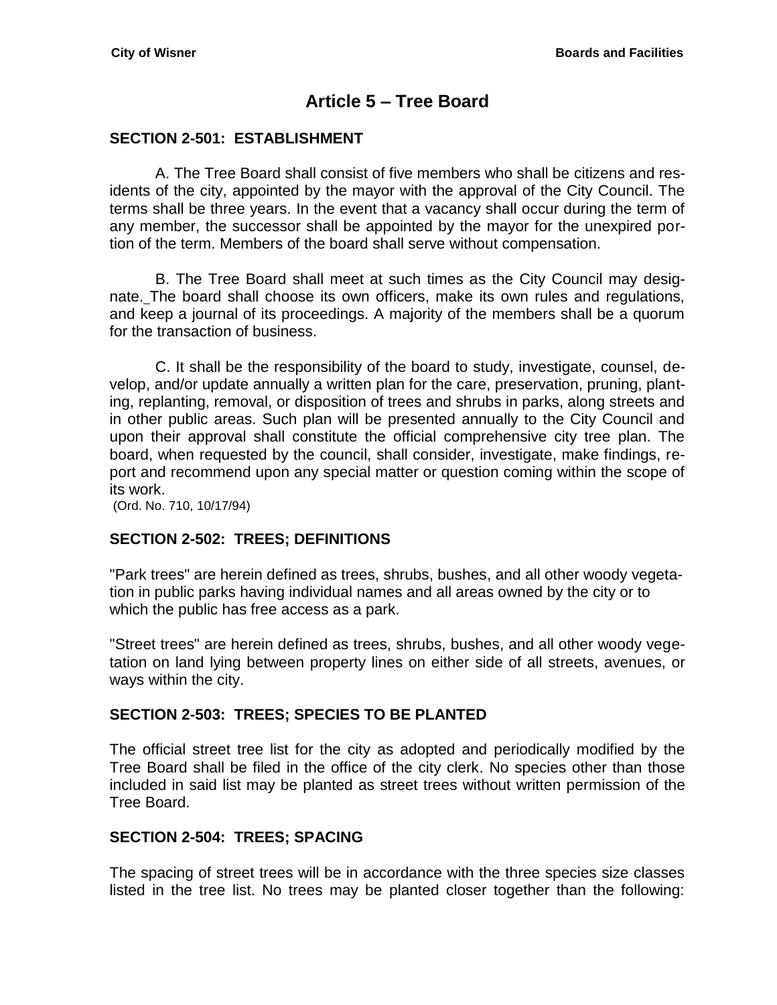# **Article 5 – Tree Board**

#### <span id="page-18-1"></span><span id="page-18-0"></span>**SECTION 2-501: ESTABLISHMENT**

A. The Tree Board shall consist of five members who shall be citizens and residents of the city, appointed by the mayor with the approval of the City Council. The terms shall be three years. In the event that a vacancy shall occur during the term of any member, the successor shall be appointed by the mayor for the unexpired portion of the term. Members of the board shall serve without compensation.

B. The Tree Board shall meet at such times as the City Council may designate. The board shall choose its own officers, make its own rules and regulations, and keep a journal of its proceedings. A majority of the members shall be a quorum for the transaction of business.

C. It shall be the responsibility of the board to study, investigate, counsel, develop, and/or update annually a written plan for the care, preservation, pruning, planting, replanting, removal, or disposition of trees and shrubs in parks, along streets and in other public areas. Such plan will be presented annually to the City Council and upon their approval shall constitute the official comprehensive city tree plan. The board, when requested by the council, shall consider, investigate, make findings, report and recommend upon any special matter or question coming within the scope of its work.

(Ord. No. 710, 10/17/94)

#### <span id="page-18-2"></span>**SECTION 2-502: TREES; DEFINITIONS**

"Park trees" are herein defined as trees, shrubs, bushes, and all other woody vegetation in public parks having individual names and all areas owned by the city or to which the public has free access as a park.

"Street trees" are herein defined as trees, shrubs, bushes, and all other woody vegetation on land lying between property lines on either side of all streets, avenues, or ways within the city.

#### <span id="page-18-3"></span>**SECTION 2-503: TREES; SPECIES TO BE PLANTED**

The official street tree list for the city as adopted and periodically modified by the Tree Board shall be filed in the office of the city clerk. No species other than those included in said list may be planted as street trees without written permission of the Tree Board.

#### <span id="page-18-4"></span>**SECTION 2-504: TREES; SPACING**

The spacing of street trees will be in accordance with the three species size classes listed in the tree list. No trees may be planted closer together than the following: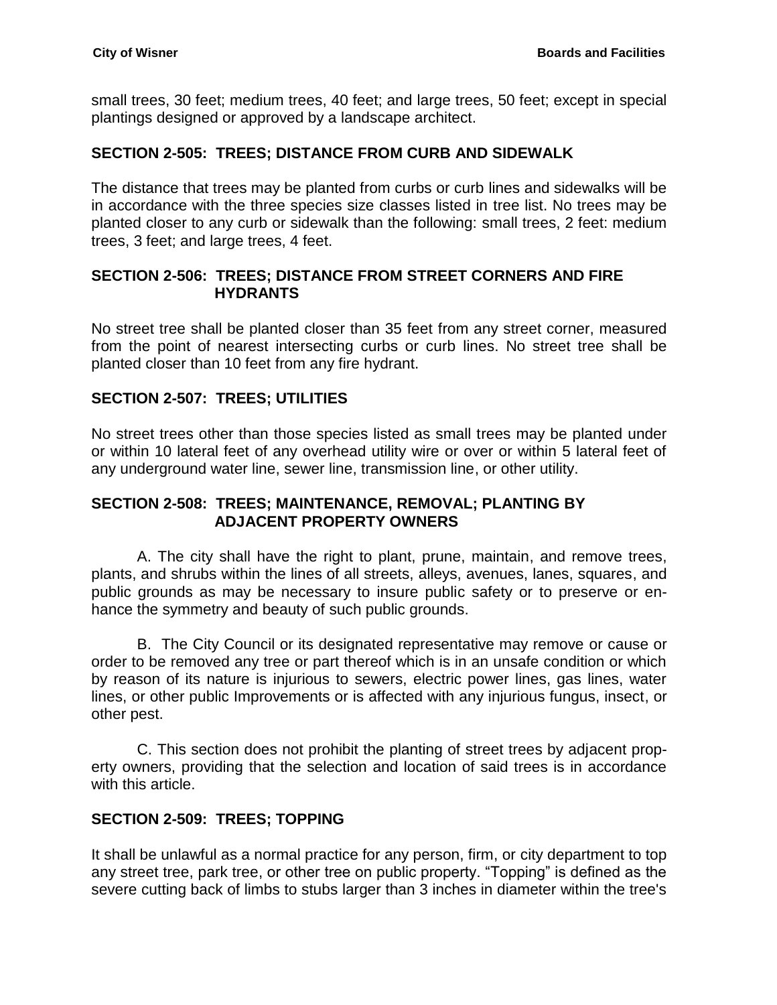small trees, 30 feet; medium trees, 40 feet; and large trees, 50 feet; except in special plantings designed or approved by a landscape architect.

## <span id="page-19-0"></span>**SECTION 2-505: TREES; DISTANCE FROM CURB AND SIDEWALK**

The distance that trees may be planted from curbs or curb lines and sidewalks will be in accordance with the three species size classes listed in tree list. No trees may be planted closer to any curb or sidewalk than the following: small trees, 2 feet: medium trees, 3 feet; and large trees, 4 feet.

## <span id="page-19-1"></span>**SECTION 2-506: TREES; DISTANCE FROM STREET CORNERS AND FIRE HYDRANTS**

No street tree shall be planted closer than 35 feet from any street corner, measured from the point of nearest intersecting curbs or curb lines. No street tree shall be planted closer than 10 feet from any fire hydrant.

## <span id="page-19-2"></span>**SECTION 2-507: TREES; UTILITIES**

No street trees other than those species listed as small trees may be planted under or within 10 lateral feet of any overhead utility wire or over or within 5 lateral feet of any underground water line, sewer line, transmission line, or other utility.

#### <span id="page-19-3"></span>**SECTION 2-508: TREES; MAINTENANCE, REMOVAL; PLANTING BY ADJACENT PROPERTY OWNERS**

A. The city shall have the right to plant, prune, maintain, and remove trees, plants, and shrubs within the lines of all streets, alleys, avenues, lanes, squares, and public grounds as may be necessary to insure public safety or to preserve or enhance the symmetry and beauty of such public grounds.

B. The City Council or its designated representative may remove or cause or order to be removed any tree or part thereof which is in an unsafe condition or which by reason of its nature is injurious to sewers, electric power lines, gas lines, water lines, or other public Improvements or is affected with any injurious fungus, insect, or other pest.

C. This section does not prohibit the planting of street trees by adjacent property owners, providing that the selection and location of said trees is in accordance with this article.

## <span id="page-19-4"></span>**SECTION 2-509: TREES; TOPPING**

It shall be unlawful as a normal practice for any person, firm, or city department to top any street tree, park tree, or other tree on public property. "Topping" is defined as the severe cutting back of limbs to stubs larger than 3 inches in diameter within the tree's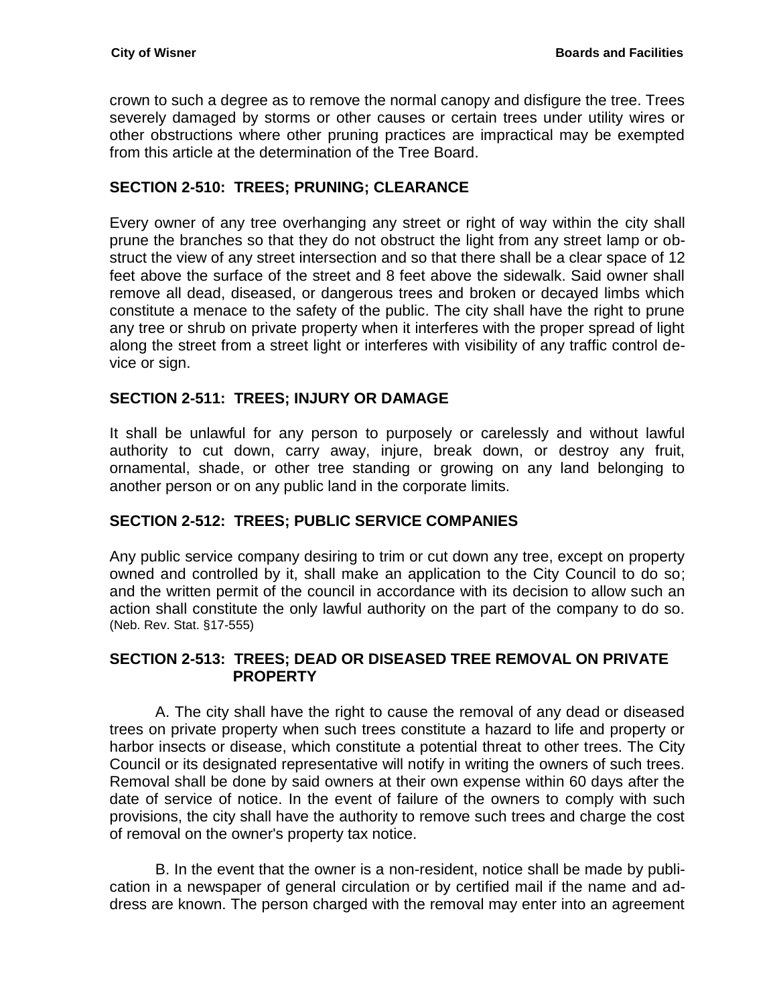crown to such a degree as to remove the normal canopy and disfigure the tree. Trees severely damaged by storms or other causes or certain trees under utility wires or other obstructions where other pruning practices are impractical may be exempted from this article at the determination of the Tree Board.

## <span id="page-20-0"></span>**SECTION 2-510: TREES; PRUNING; CLEARANCE**

Every owner of any tree overhanging any street or right of way within the city shall prune the branches so that they do not obstruct the light from any street lamp or obstruct the view of any street intersection and so that there shall be a clear space of 12 feet above the surface of the street and 8 feet above the sidewalk. Said owner shall remove all dead, diseased, or dangerous trees and broken or decayed limbs which constitute a menace to the safety of the public. The city shall have the right to prune any tree or shrub on private property when it interferes with the proper spread of light along the street from a street light or interferes with visibility of any traffic control device or sign.

## <span id="page-20-1"></span>**SECTION 2-511: TREES; INJURY OR DAMAGE**

It shall be unlawful for any person to purposely or carelessly and without lawful authority to cut down, carry away, injure, break down, or destroy any fruit, ornamental, shade, or other tree standing or growing on any land belonging to another person or on any public land in the corporate limits.

#### <span id="page-20-2"></span>**SECTION 2-512: TREES; PUBLIC SERVICE COMPANIES**

Any public service company desiring to trim or cut down any tree, except on property owned and controlled by it, shall make an application to the City Council to do so; and the written permit of the council in accordance with its decision to allow such an action shall constitute the only lawful authority on the part of the company to do so. (Neb. Rev. Stat. §17-555)

#### <span id="page-20-3"></span>**SECTION 2-513: TREES; DEAD OR DISEASED TREE REMOVAL ON PRIVATE PROPERTY**

A. The city shall have the right to cause the removal of any dead or diseased trees on private property when such trees constitute a hazard to life and property or harbor insects or disease, which constitute a potential threat to other trees. The City Council or its designated representative will notify in writing the owners of such trees. Removal shall be done by said owners at their own expense within 60 days after the date of service of notice. In the event of failure of the owners to comply with such provisions, the city shall have the authority to remove such trees and charge the cost of removal on the owner's property tax notice.

B. In the event that the owner is a non-resident, notice shall be made by publication in a newspaper of general circulation or by certified mail if the name and address are known. The person charged with the removal may enter into an agreement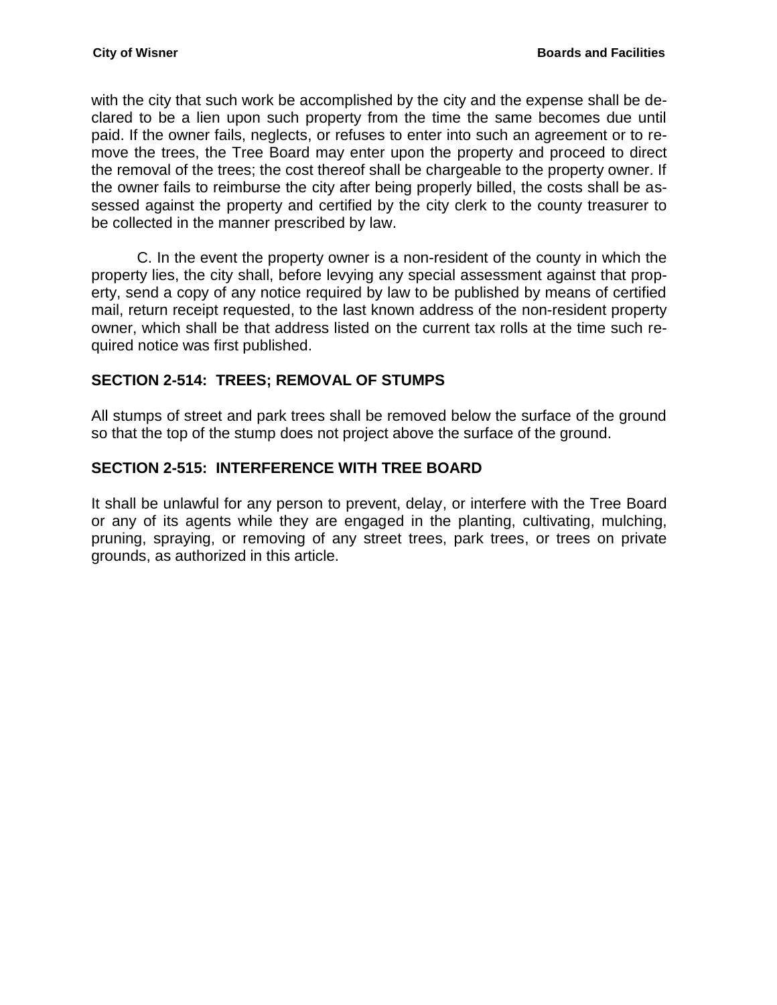with the city that such work be accomplished by the city and the expense shall be declared to be a lien upon such property from the time the same becomes due until paid. If the owner fails, neglects, or refuses to enter into such an agreement or to remove the trees, the Tree Board may enter upon the property and proceed to direct the removal of the trees; the cost thereof shall be chargeable to the property owner. If the owner fails to reimburse the city after being properly billed, the costs shall be assessed against the property and certified by the city clerk to the county treasurer to be collected in the manner prescribed by law.

C. In the event the property owner is a non-resident of the county in which the property lies, the city shall, before levying any special assessment against that property, send a copy of any notice required by law to be published by means of certified mail, return receipt requested, to the last known address of the non-resident property owner, which shall be that address listed on the current tax rolls at the time such required notice was first published.

## <span id="page-21-0"></span>**SECTION 2-514: TREES; REMOVAL OF STUMPS**

All stumps of street and park trees shall be removed below the surface of the ground so that the top of the stump does not project above the surface of the ground.

## <span id="page-21-1"></span>**SECTION 2-515: INTERFERENCE WITH TREE BOARD**

It shall be unlawful for any person to prevent, delay, or interfere with the Tree Board or any of its agents while they are engaged in the planting, cultivating, mulching, pruning, spraying, or removing of any street trees, park trees, or trees on private grounds, as authorized in this article.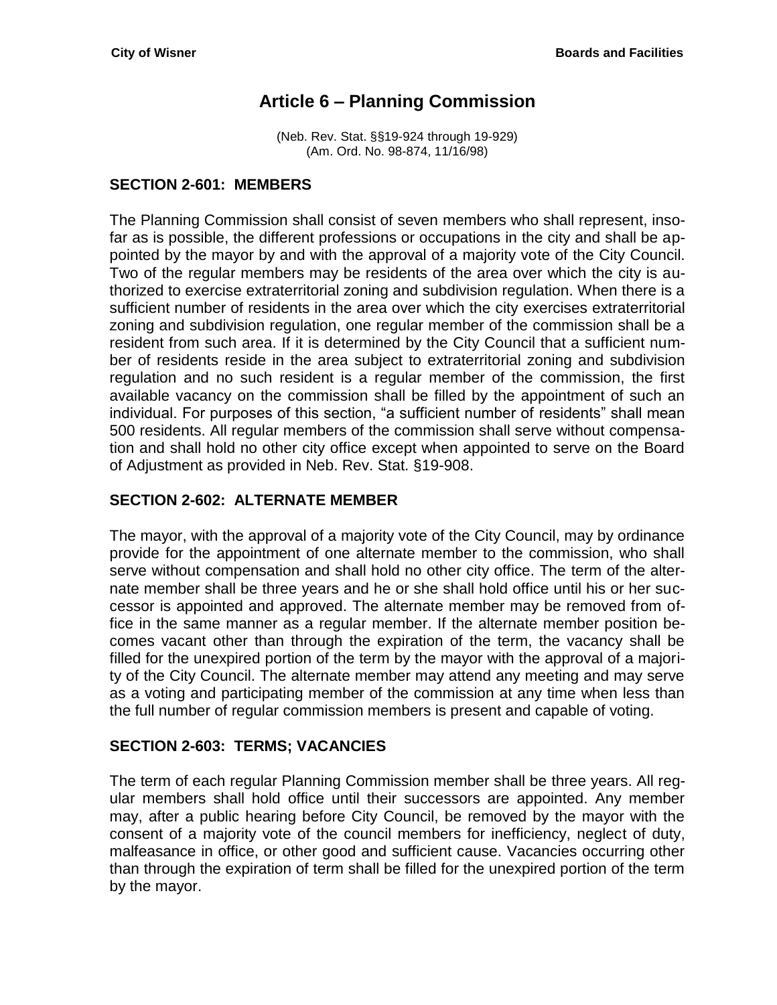# **Article 6 – Planning Commission**

(Neb. Rev. Stat. §§19-924 through 19-929) (Am. Ord. No. 98-874, 11/16/98)

## <span id="page-22-1"></span><span id="page-22-0"></span>**SECTION 2-601: MEMBERS**

The Planning Commission shall consist of seven members who shall represent, insofar as is possible, the different professions or occupations in the city and shall be appointed by the mayor by and with the approval of a majority vote of the City Council. Two of the regular members may be residents of the area over which the city is authorized to exercise extraterritorial zoning and subdivision regulation. When there is a sufficient number of residents in the area over which the city exercises extraterritorial zoning and subdivision regulation, one regular member of the commission shall be a resident from such area. If it is determined by the City Council that a sufficient number of residents reside in the area subject to extraterritorial zoning and subdivision regulation and no such resident is a regular member of the commission, the first available vacancy on the commission shall be filled by the appointment of such an individual. For purposes of this section, "a sufficient number of residents" shall mean 500 residents. All regular members of the commission shall serve without compensation and shall hold no other city office except when appointed to serve on the Board of Adjustment as provided in Neb. Rev. Stat. §19-908.

## <span id="page-22-2"></span>**SECTION 2-602: ALTERNATE MEMBER**

The mayor, with the approval of a majority vote of the City Council, may by ordinance provide for the appointment of one alternate member to the commission, who shall serve without compensation and shall hold no other city office. The term of the alternate member shall be three years and he or she shall hold office until his or her successor is appointed and approved. The alternate member may be removed from office in the same manner as a regular member. If the alternate member position becomes vacant other than through the expiration of the term, the vacancy shall be filled for the unexpired portion of the term by the mayor with the approval of a majority of the City Council. The alternate member may attend any meeting and may serve as a voting and participating member of the commission at any time when less than the full number of regular commission members is present and capable of voting.

## <span id="page-22-3"></span>**SECTION 2-603: TERMS; VACANCIES**

The term of each regular Planning Commission member shall be three years. All regular members shall hold office until their successors are appointed. Any member may, after a public hearing before City Council, be removed by the mayor with the consent of a majority vote of the council members for inefficiency, neglect of duty, malfeasance in office, or other good and sufficient cause. Vacancies occurring other than through the expiration of term shall be filled for the unexpired portion of the term by the mayor.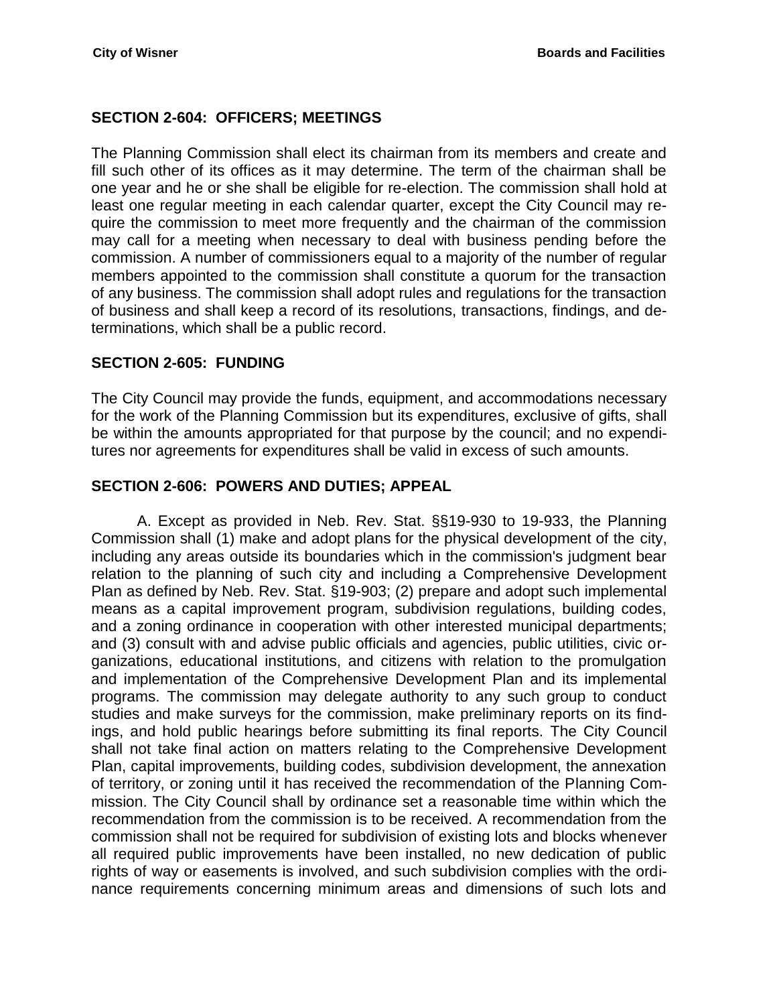## <span id="page-23-0"></span>**SECTION 2-604: OFFICERS; MEETINGS**

The Planning Commission shall elect its chairman from its members and create and fill such other of its offices as it may determine. The term of the chairman shall be one year and he or she shall be eligible for re-election. The commission shall hold at least one regular meeting in each calendar quarter, except the City Council may require the commission to meet more frequently and the chairman of the commission may call for a meeting when necessary to deal with business pending before the commission. A number of commissioners equal to a majority of the number of regular members appointed to the commission shall constitute a quorum for the transaction of any business. The commission shall adopt rules and regulations for the transaction of business and shall keep a record of its resolutions, transactions, findings, and determinations, which shall be a public record.

## <span id="page-23-1"></span>**SECTION 2-605: FUNDING**

The City Council may provide the funds, equipment, and accommodations necessary for the work of the Planning Commission but its expenditures, exclusive of gifts, shall be within the amounts appropriated for that purpose by the council; and no expenditures nor agreements for expenditures shall be valid in excess of such amounts.

## <span id="page-23-2"></span>**SECTION 2-606: POWERS AND DUTIES; APPEAL**

A. Except as provided in Neb. Rev. Stat. §§19-930 to 19-933, the Planning Commission shall (1) make and adopt plans for the physical development of the city, including any areas outside its boundaries which in the commission's judgment bear relation to the planning of such city and including a Comprehensive Development Plan as defined by Neb. Rev. Stat. §19-903; (2) prepare and adopt such implemental means as a capital improvement program, subdivision regulations, building codes, and a zoning ordinance in cooperation with other interested municipal departments; and (3) consult with and advise public officials and agencies, public utilities, civic organizations, educational institutions, and citizens with relation to the promulgation and implementation of the Comprehensive Development Plan and its implemental programs. The commission may delegate authority to any such group to conduct studies and make surveys for the commission, make preliminary reports on its findings, and hold public hearings before submitting its final reports. The City Council shall not take final action on matters relating to the Comprehensive Development Plan, capital improvements, building codes, subdivision development, the annexation of territory, or zoning until it has received the recommendation of the Planning Commission. The City Council shall by ordinance set a reasonable time within which the recommendation from the commission is to be received. A recommendation from the commission shall not be required for subdivision of existing lots and blocks whenever all required public improvements have been installed, no new dedication of public rights of way or easements is involved, and such subdivision complies with the ordinance requirements concerning minimum areas and dimensions of such lots and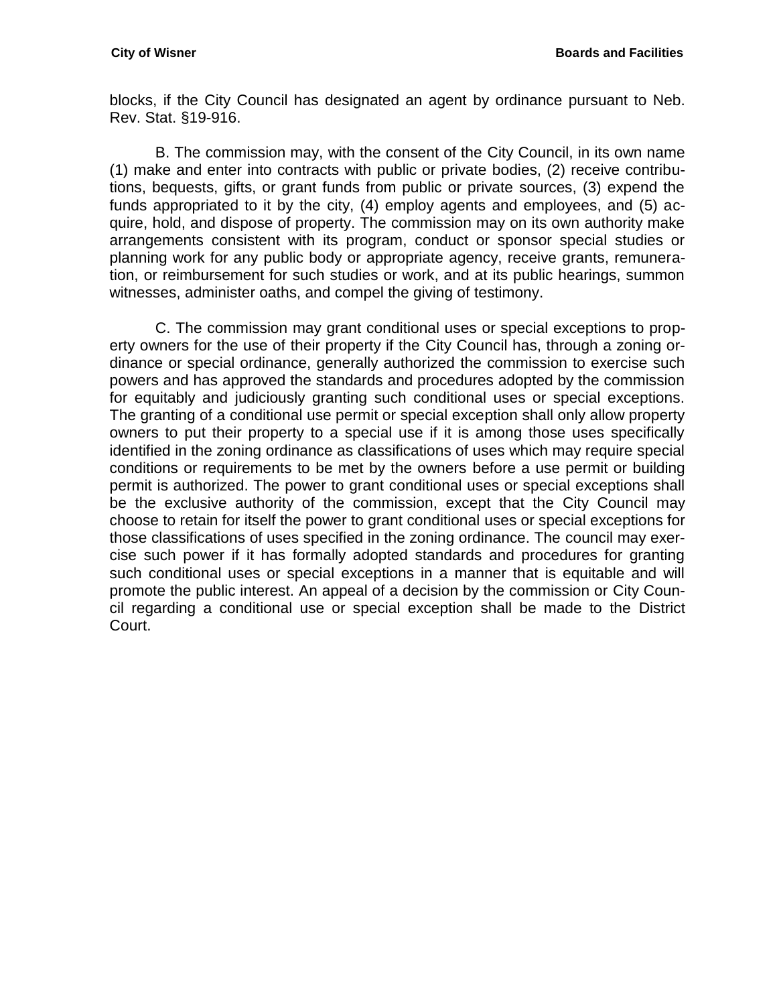blocks, if the City Council has designated an agent by ordinance pursuant to Neb. Rev. Stat. §19-916.

B. The commission may, with the consent of the City Council, in its own name (1) make and enter into contracts with public or private bodies, (2) receive contributions, bequests, gifts, or grant funds from public or private sources, (3) expend the funds appropriated to it by the city, (4) employ agents and employees, and (5) acquire, hold, and dispose of property. The commission may on its own authority make arrangements consistent with its program, conduct or sponsor special studies or planning work for any public body or appropriate agency, receive grants, remuneration, or reimbursement for such studies or work, and at its public hearings, summon witnesses, administer oaths, and compel the giving of testimony.

C. The commission may grant conditional uses or special exceptions to property owners for the use of their property if the City Council has, through a zoning ordinance or special ordinance, generally authorized the commission to exercise such powers and has approved the standards and procedures adopted by the commission for equitably and judiciously granting such conditional uses or special exceptions. The granting of a conditional use permit or special exception shall only allow property owners to put their property to a special use if it is among those uses specifically identified in the zoning ordinance as classifications of uses which may require special conditions or requirements to be met by the owners before a use permit or building permit is authorized. The power to grant conditional uses or special exceptions shall be the exclusive authority of the commission, except that the City Council may choose to retain for itself the power to grant conditional uses or special exceptions for those classifications of uses specified in the zoning ordinance. The council may exercise such power if it has formally adopted standards and procedures for granting such conditional uses or special exceptions in a manner that is equitable and will promote the public interest. An appeal of a decision by the commission or City Council regarding a conditional use or special exception shall be made to the District Court.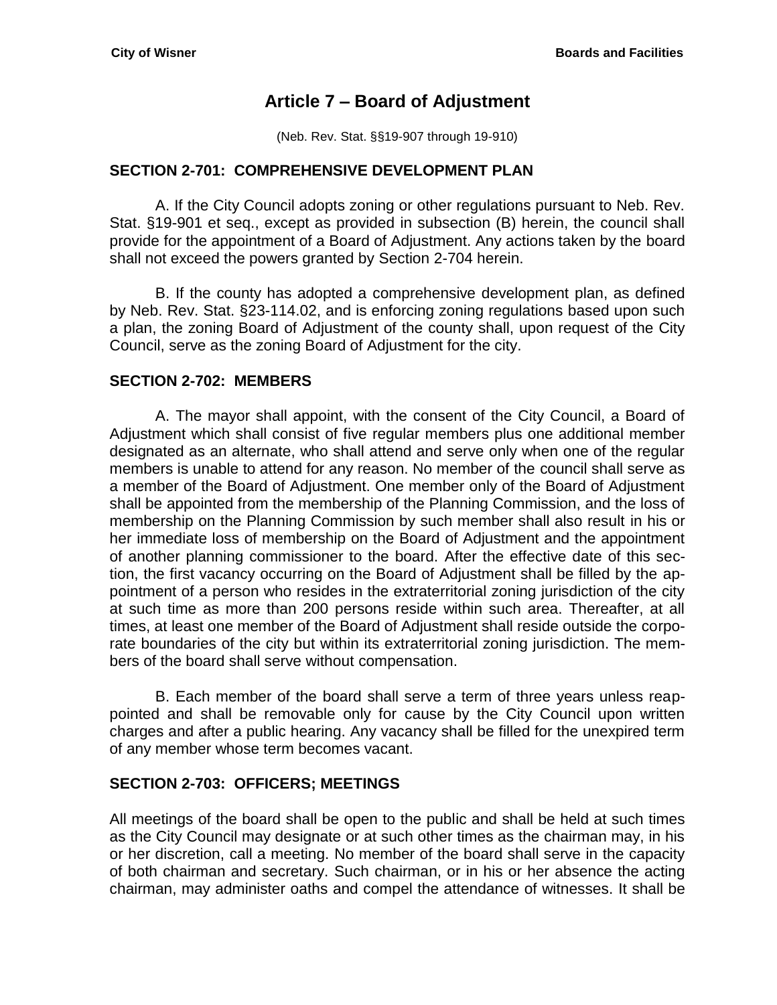# **Article 7 – Board of Adjustment**

(Neb. Rev. Stat. §§19-907 through 19-910)

## <span id="page-26-1"></span><span id="page-26-0"></span>**SECTION 2-701: COMPREHENSIVE DEVELOPMENT PLAN**

A. If the City Council adopts zoning or other regulations pursuant to Neb. Rev. Stat. §19-901 et seq., except as provided in subsection (B) herein, the council shall provide for the appointment of a Board of Adjustment. Any actions taken by the board shall not exceed the powers granted by Section 2-704 herein.

B. If the county has adopted a comprehensive development plan, as defined by Neb. Rev. Stat. §23-114.02, and is enforcing zoning regulations based upon such a plan, the zoning Board of Adjustment of the county shall, upon request of the City Council, serve as the zoning Board of Adjustment for the city.

#### <span id="page-26-2"></span>**SECTION 2-702: MEMBERS**

A. The mayor shall appoint, with the consent of the City Council, a Board of Adjustment which shall consist of five regular members plus one additional member designated as an alternate, who shall attend and serve only when one of the regular members is unable to attend for any reason. No member of the council shall serve as a member of the Board of Adjustment. One member only of the Board of Adjustment shall be appointed from the membership of the Planning Commission, and the loss of membership on the Planning Commission by such member shall also result in his or her immediate loss of membership on the Board of Adjustment and the appointment of another planning commissioner to the board. After the effective date of this section, the first vacancy occurring on the Board of Adjustment shall be filled by the appointment of a person who resides in the extraterritorial zoning jurisdiction of the city at such time as more than 200 persons reside within such area. Thereafter, at all times, at least one member of the Board of Adjustment shall reside outside the corporate boundaries of the city but within its extraterritorial zoning jurisdiction. The members of the board shall serve without compensation.

B. Each member of the board shall serve a term of three years unless reappointed and shall be removable only for cause by the City Council upon written charges and after a public hearing. Any vacancy shall be filled for the unexpired term of any member whose term becomes vacant.

#### <span id="page-26-3"></span>**SECTION 2-703: OFFICERS; MEETINGS**

All meetings of the board shall be open to the public and shall be held at such times as the City Council may designate or at such other times as the chairman may, in his or her discretion, call a meeting. No member of the board shall serve in the capacity of both chairman and secretary. Such chairman, or in his or her absence the acting chairman, may administer oaths and compel the attendance of witnesses. It shall be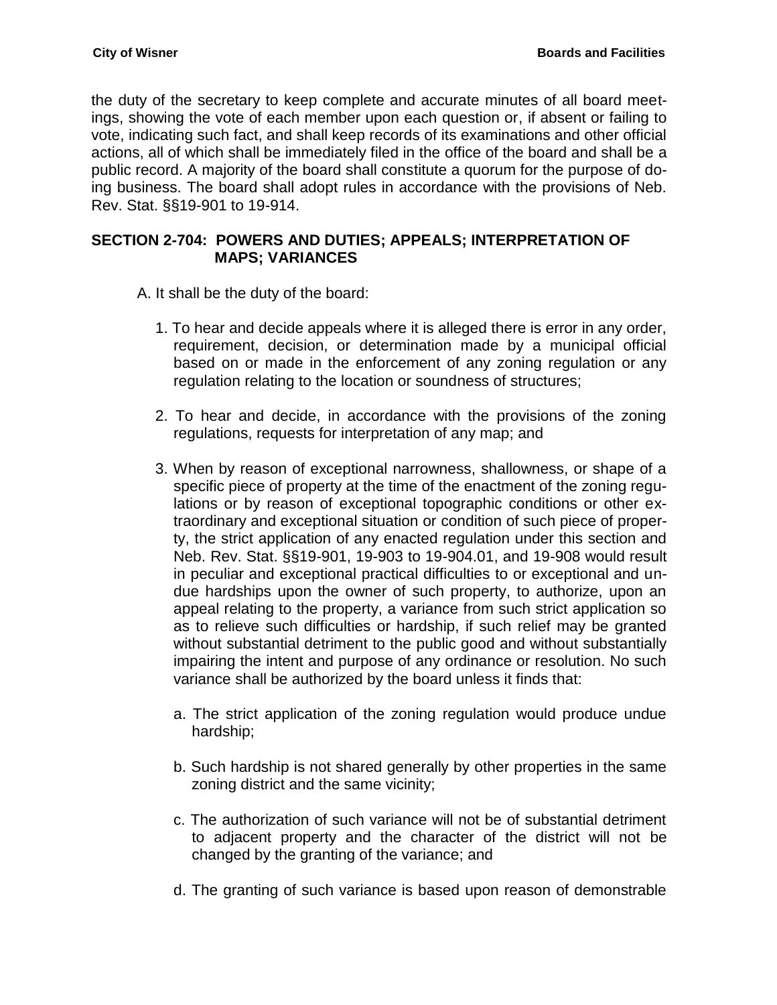the duty of the secretary to keep complete and accurate minutes of all board meetings, showing the vote of each member upon each question or, if absent or failing to vote, indicating such fact, and shall keep records of its examinations and other official actions, all of which shall be immediately filed in the office of the board and shall be a public record. A majority of the board shall constitute a quorum for the purpose of doing business. The board shall adopt rules in accordance with the provisions of Neb. Rev. Stat. §§19-901 to 19-914.

#### <span id="page-27-0"></span>**SECTION 2-704: POWERS AND DUTIES; APPEALS; INTERPRETATION OF MAPS; VARIANCES**

- A. It shall be the duty of the board:
	- 1. To hear and decide appeals where it is alleged there is error in any order, requirement, decision, or determination made by a municipal official based on or made in the enforcement of any zoning regulation or any regulation relating to the location or soundness of structures;
	- 2. To hear and decide, in accordance with the provisions of the zoning regulations, requests for interpretation of any map; and
	- 3. When by reason of exceptional narrowness, shallowness, or shape of a specific piece of property at the time of the enactment of the zoning regulations or by reason of exceptional topographic conditions or other extraordinary and exceptional situation or condition of such piece of property, the strict application of any enacted regulation under this section and Neb. Rev. Stat. §§19-901, 19-903 to 19-904.01, and 19-908 would result in peculiar and exceptional practical difficulties to or exceptional and undue hardships upon the owner of such property, to authorize, upon an appeal relating to the property, a variance from such strict application so as to relieve such difficulties or hardship, if such relief may be granted without substantial detriment to the public good and without substantially impairing the intent and purpose of any ordinance or resolution. No such variance shall be authorized by the board unless it finds that:
		- a. The strict application of the zoning regulation would produce undue hardship;
		- b. Such hardship is not shared generally by other properties in the same zoning district and the same vicinity;
		- c. The authorization of such variance will not be of substantial detriment to adjacent property and the character of the district will not be changed by the granting of the variance; and
		- d. The granting of such variance is based upon reason of demonstrable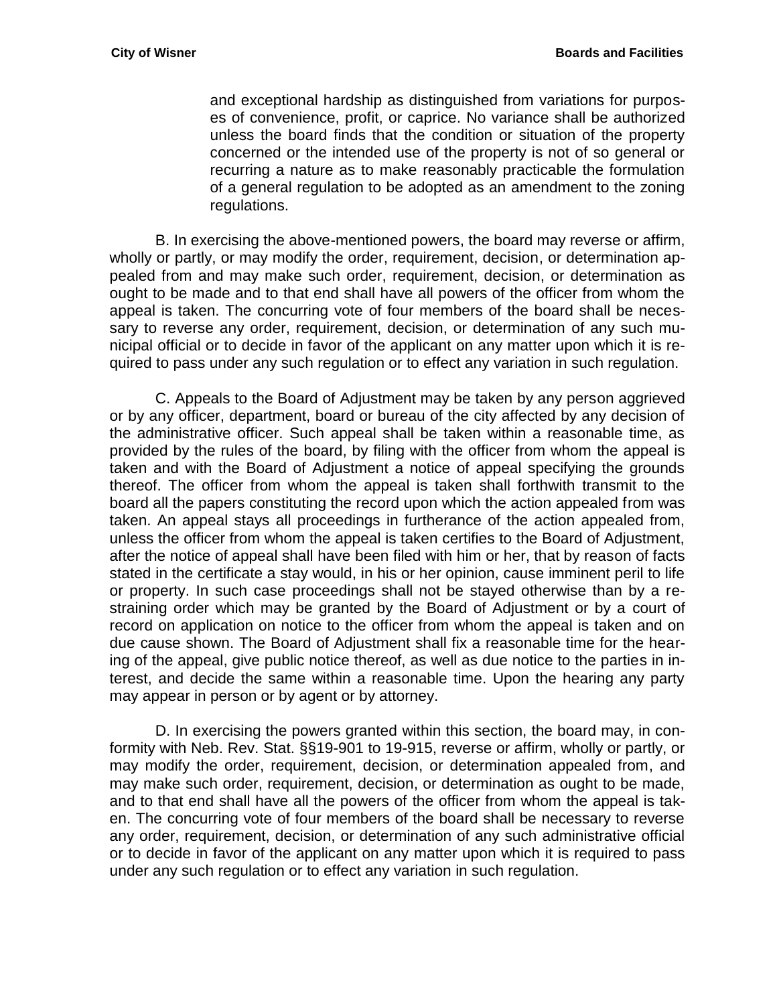and exceptional hardship as distinguished from variations for purposes of convenience, profit, or caprice. No variance shall be authorized unless the board finds that the condition or situation of the property concerned or the intended use of the property is not of so general or recurring a nature as to make reasonably practicable the formulation of a general regulation to be adopted as an amendment to the zoning regulations.

B. In exercising the above-mentioned powers, the board may reverse or affirm, wholly or partly, or may modify the order, requirement, decision, or determination appealed from and may make such order, requirement, decision, or determination as ought to be made and to that end shall have all powers of the officer from whom the appeal is taken. The concurring vote of four members of the board shall be necessary to reverse any order, requirement, decision, or determination of any such municipal official or to decide in favor of the applicant on any matter upon which it is required to pass under any such regulation or to effect any variation in such regulation.

C. Appeals to the Board of Adjustment may be taken by any person aggrieved or by any officer, department, board or bureau of the city affected by any decision of the administrative officer. Such appeal shall be taken within a reasonable time, as provided by the rules of the board, by filing with the officer from whom the appeal is taken and with the Board of Adjustment a notice of appeal specifying the grounds thereof. The officer from whom the appeal is taken shall forthwith transmit to the board all the papers constituting the record upon which the action appealed from was taken. An appeal stays all proceedings in furtherance of the action appealed from, unless the officer from whom the appeal is taken certifies to the Board of Adjustment, after the notice of appeal shall have been filed with him or her, that by reason of facts stated in the certificate a stay would, in his or her opinion, cause imminent peril to life or property. In such case proceedings shall not be stayed otherwise than by a restraining order which may be granted by the Board of Adjustment or by a court of record on application on notice to the officer from whom the appeal is taken and on due cause shown. The Board of Adjustment shall fix a reasonable time for the hearing of the appeal, give public notice thereof, as well as due notice to the parties in interest, and decide the same within a reasonable time. Upon the hearing any party may appear in person or by agent or by attorney.

D. In exercising the powers granted within this section, the board may, in conformity with Neb. Rev. Stat. §§19-901 to 19-915, reverse or affirm, wholly or partly, or may modify the order, requirement, decision, or determination appealed from, and may make such order, requirement, decision, or determination as ought to be made, and to that end shall have all the powers of the officer from whom the appeal is taken. The concurring vote of four members of the board shall be necessary to reverse any order, requirement, decision, or determination of any such administrative official or to decide in favor of the applicant on any matter upon which it is required to pass under any such regulation or to effect any variation in such regulation.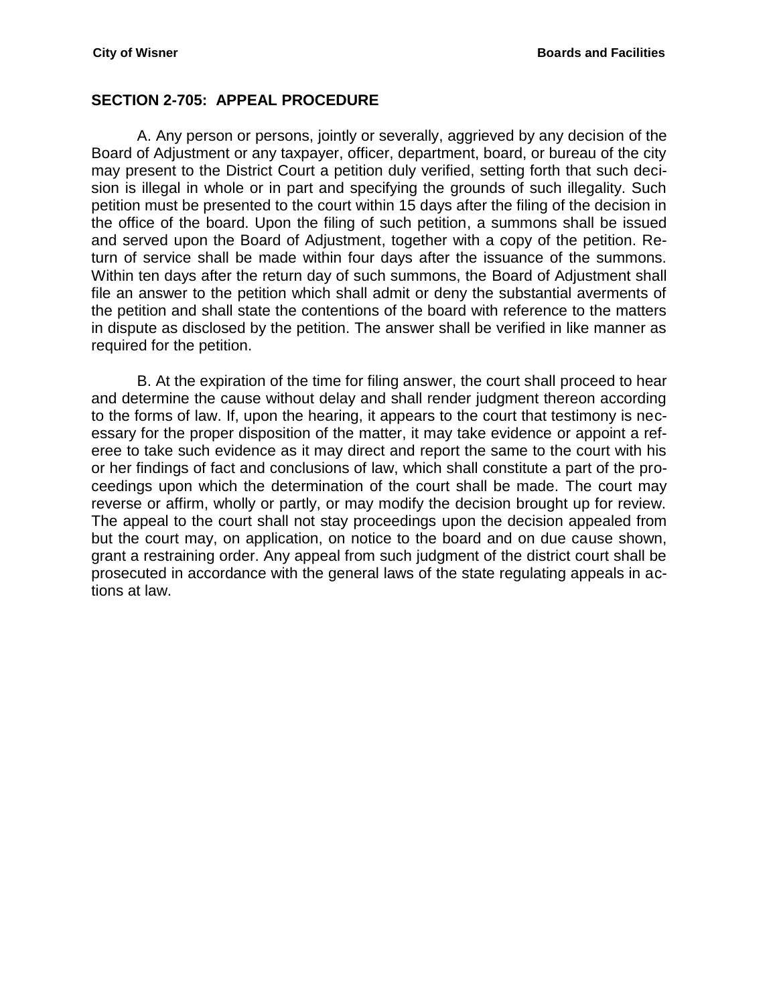#### <span id="page-29-0"></span>**SECTION 2-705: APPEAL PROCEDURE**

A. Any person or persons, jointly or severally, aggrieved by any decision of the Board of Adjustment or any taxpayer, officer, department, board, or bureau of the city may present to the District Court a petition duly verified, setting forth that such decision is illegal in whole or in part and specifying the grounds of such illegality. Such petition must be presented to the court within 15 days after the filing of the decision in the office of the board. Upon the filing of such petition, a summons shall be issued and served upon the Board of Adjustment, together with a copy of the petition. Return of service shall be made within four days after the issuance of the summons. Within ten days after the return day of such summons, the Board of Adjustment shall file an answer to the petition which shall admit or deny the substantial averments of the petition and shall state the contentions of the board with reference to the matters in dispute as disclosed by the petition. The answer shall be verified in like manner as required for the petition.

B. At the expiration of the time for filing answer, the court shall proceed to hear and determine the cause without delay and shall render judgment thereon according to the forms of law. If, upon the hearing, it appears to the court that testimony is necessary for the proper disposition of the matter, it may take evidence or appoint a referee to take such evidence as it may direct and report the same to the court with his or her findings of fact and conclusions of law, which shall constitute a part of the proceedings upon which the determination of the court shall be made. The court may reverse or affirm, wholly or partly, or may modify the decision brought up for review. The appeal to the court shall not stay proceedings upon the decision appealed from but the court may, on application, on notice to the board and on due cause shown, grant a restraining order. Any appeal from such judgment of the district court shall be prosecuted in accordance with the general laws of the state regulating appeals in actions at law.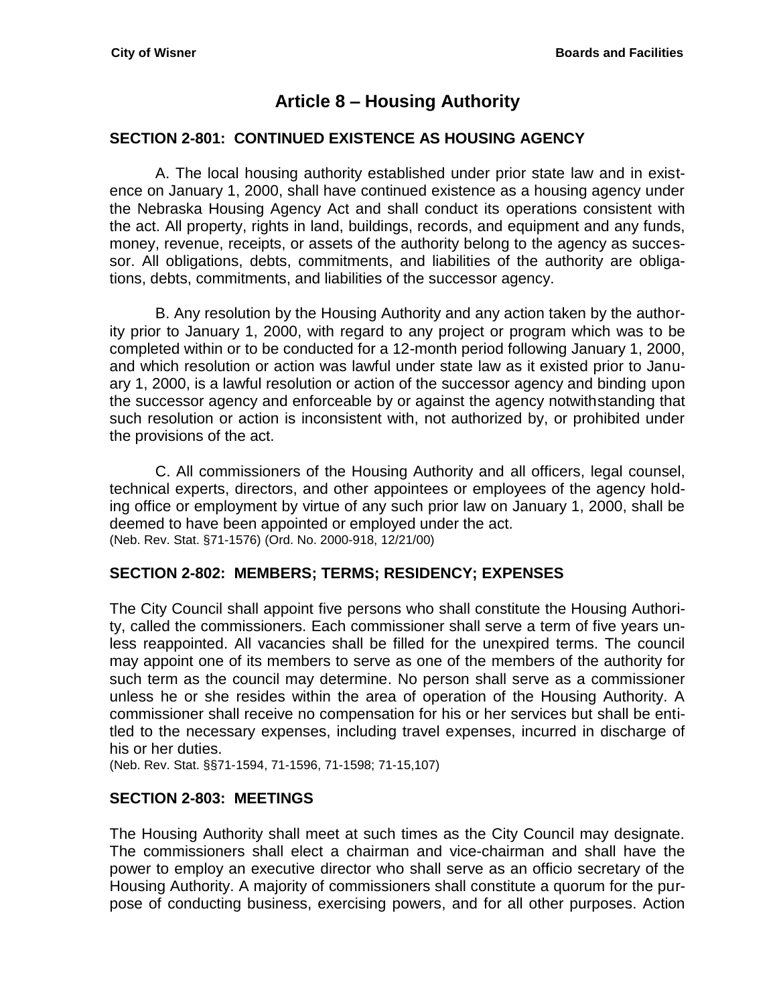## **Article 8 – Housing Authority**

### <span id="page-30-1"></span><span id="page-30-0"></span>**SECTION 2-801: CONTINUED EXISTENCE AS HOUSING AGENCY**

A. The local housing authority established under prior state law and in existence on January 1, 2000, shall have continued existence as a housing agency under the Nebraska Housing Agency Act and shall conduct its operations consistent with the act. All property, rights in land, buildings, records, and equipment and any funds, money, revenue, receipts, or assets of the authority belong to the agency as successor. All obligations, debts, commitments, and liabilities of the authority are obligations, debts, commitments, and liabilities of the successor agency.

B. Any resolution by the Housing Authority and any action taken by the authority prior to January 1, 2000, with regard to any project or program which was to be completed within or to be conducted for a 12-month period following January 1, 2000, and which resolution or action was lawful under state law as it existed prior to January 1, 2000, is a lawful resolution or action of the successor agency and binding upon the successor agency and enforceable by or against the agency notwithstanding that such resolution or action is inconsistent with, not authorized by, or prohibited under the provisions of the act.

C. All commissioners of the Housing Authority and all officers, legal counsel, technical experts, directors, and other appointees or employees of the agency holding office or employment by virtue of any such prior law on January 1, 2000, shall be deemed to have been appointed or employed under the act. (Neb. Rev. Stat. §71-1576) (Ord. No. 2000-918, 12/21/00)

#### <span id="page-30-2"></span>**SECTION 2-802: MEMBERS; TERMS; RESIDENCY; EXPENSES**

The City Council shall appoint five persons who shall constitute the Housing Authority, called the commissioners. Each commissioner shall serve a term of five years unless reappointed. All vacancies shall be filled for the unexpired terms. The council may appoint one of its members to serve as one of the members of the authority for such term as the council may determine. No person shall serve as a commissioner unless he or she resides within the area of operation of the Housing Authority. A commissioner shall receive no compensation for his or her services but shall be entitled to the necessary expenses, including travel expenses, incurred in discharge of his or her duties.

(Neb. Rev. Stat. §§71-1594, 71-1596, 71-1598; 71-15,107)

#### <span id="page-30-3"></span>**SECTION 2-803: MEETINGS**

The Housing Authority shall meet at such times as the City Council may designate. The commissioners shall elect a chairman and vice-chairman and shall have the power to employ an executive director who shall serve as an officio secretary of the Housing Authority. A majority of commissioners shall constitute a quorum for the purpose of conducting business, exercising powers, and for all other purposes. Action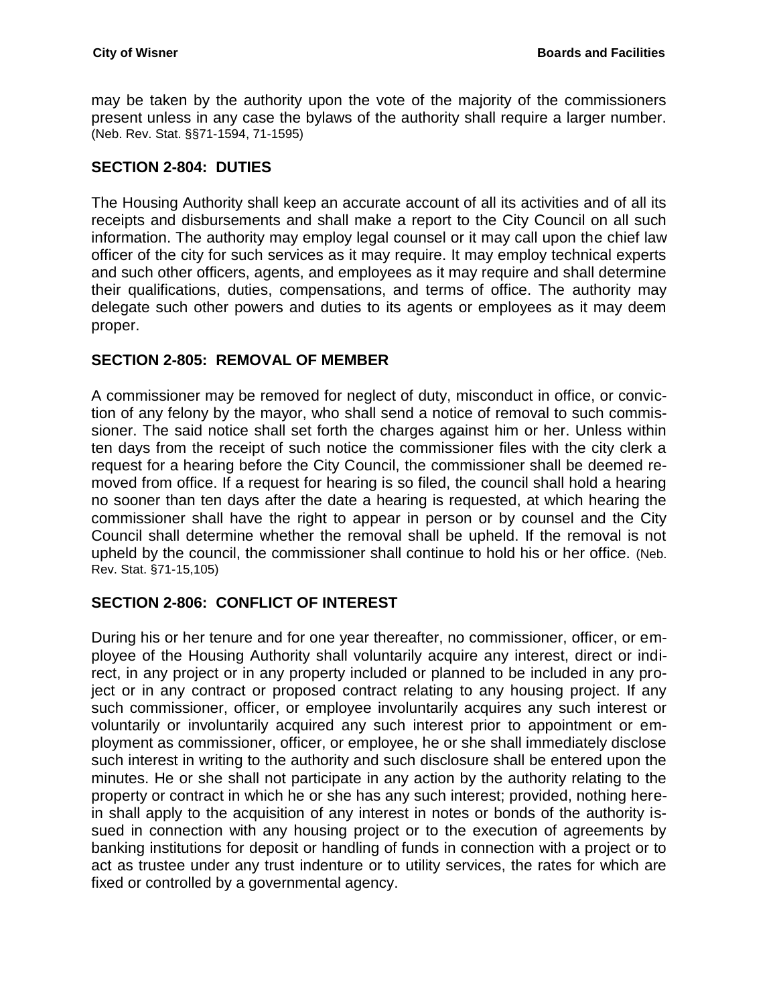may be taken by the authority upon the vote of the majority of the commissioners present unless in any case the bylaws of the authority shall require a larger number. (Neb. Rev. Stat. §§71-1594, 71-1595)

## <span id="page-31-0"></span>**SECTION 2-804: DUTIES**

The Housing Authority shall keep an accurate account of all its activities and of all its receipts and disbursements and shall make a report to the City Council on all such information. The authority may employ legal counsel or it may call upon the chief law officer of the city for such services as it may require. It may employ technical experts and such other officers, agents, and employees as it may require and shall determine their qualifications, duties, compensations, and terms of office. The authority may delegate such other powers and duties to its agents or employees as it may deem proper.

## <span id="page-31-1"></span>**SECTION 2-805: REMOVAL OF MEMBER**

A commissioner may be removed for neglect of duty, misconduct in office, or conviction of any felony by the mayor, who shall send a notice of removal to such commissioner. The said notice shall set forth the charges against him or her. Unless within ten days from the receipt of such notice the commissioner files with the city clerk a request for a hearing before the City Council, the commissioner shall be deemed removed from office. If a request for hearing is so filed, the council shall hold a hearing no sooner than ten days after the date a hearing is requested, at which hearing the commissioner shall have the right to appear in person or by counsel and the City Council shall determine whether the removal shall be upheld. If the removal is not upheld by the council, the commissioner shall continue to hold his or her office. (Neb. Rev. Stat. §71-15,105)

## <span id="page-31-2"></span>**SECTION 2-806: CONFLICT OF INTEREST**

During his or her tenure and for one year thereafter, no commissioner, officer, or employee of the Housing Authority shall voluntarily acquire any interest, direct or indirect, in any project or in any property included or planned to be included in any project or in any contract or proposed contract relating to any housing project. If any such commissioner, officer, or employee involuntarily acquires any such interest or voluntarily or involuntarily acquired any such interest prior to appointment or employment as commissioner, officer, or employee, he or she shall immediately disclose such interest in writing to the authority and such disclosure shall be entered upon the minutes. He or she shall not participate in any action by the authority relating to the property or contract in which he or she has any such interest; provided, nothing herein shall apply to the acquisition of any interest in notes or bonds of the authority issued in connection with any housing project or to the execution of agreements by banking institutions for deposit or handling of funds in connection with a project or to act as trustee under any trust indenture or to utility services, the rates for which are fixed or controlled by a governmental agency.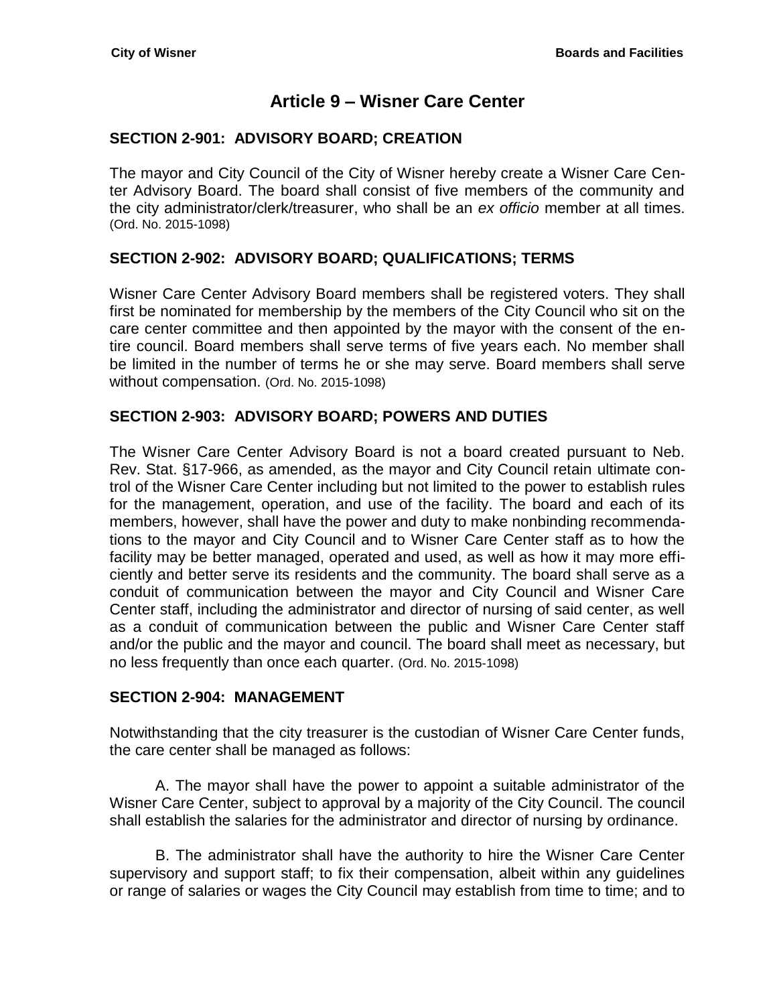# **Article 9 – Wisner Care Center**

## <span id="page-32-1"></span><span id="page-32-0"></span>**SECTION 2-901: ADVISORY BOARD; CREATION**

The mayor and City Council of the City of Wisner hereby create a Wisner Care Center Advisory Board. The board shall consist of five members of the community and the city administrator/clerk/treasurer, who shall be an *ex officio* member at all times. (Ord. No. 2015-1098)

## <span id="page-32-2"></span>**SECTION 2-902: ADVISORY BOARD; QUALIFICATIONS; TERMS**

Wisner Care Center Advisory Board members shall be registered voters. They shall first be nominated for membership by the members of the City Council who sit on the care center committee and then appointed by the mayor with the consent of the entire council. Board members shall serve terms of five years each. No member shall be limited in the number of terms he or she may serve. Board members shall serve without compensation. (Ord. No. 2015-1098)

## <span id="page-32-3"></span>**SECTION 2-903: ADVISORY BOARD; POWERS AND DUTIES**

The Wisner Care Center Advisory Board is not a board created pursuant to Neb. Rev. Stat. §17-966, as amended, as the mayor and City Council retain ultimate control of the Wisner Care Center including but not limited to the power to establish rules for the management, operation, and use of the facility. The board and each of its members, however, shall have the power and duty to make nonbinding recommendations to the mayor and City Council and to Wisner Care Center staff as to how the facility may be better managed, operated and used, as well as how it may more efficiently and better serve its residents and the community. The board shall serve as a conduit of communication between the mayor and City Council and Wisner Care Center staff, including the administrator and director of nursing of said center, as well as a conduit of communication between the public and Wisner Care Center staff and/or the public and the mayor and council. The board shall meet as necessary, but no less frequently than once each quarter. (Ord. No. 2015-1098)

#### <span id="page-32-4"></span>**SECTION 2-904: MANAGEMENT**

Notwithstanding that the city treasurer is the custodian of Wisner Care Center funds, the care center shall be managed as follows:

A. The mayor shall have the power to appoint a suitable administrator of the Wisner Care Center, subject to approval by a majority of the City Council. The council shall establish the salaries for the administrator and director of nursing by ordinance.

B. The administrator shall have the authority to hire the Wisner Care Center supervisory and support staff; to fix their compensation, albeit within any guidelines or range of salaries or wages the City Council may establish from time to time; and to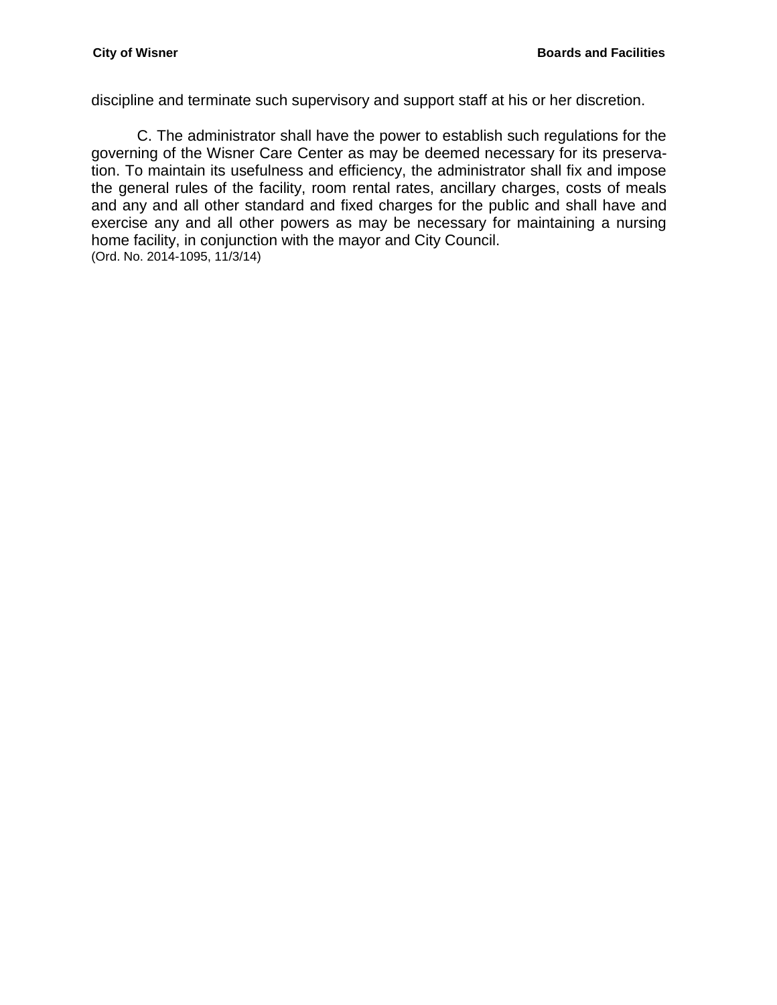discipline and terminate such supervisory and support staff at his or her discretion.

C. The administrator shall have the power to establish such regulations for the governing of the Wisner Care Center as may be deemed necessary for its preservation. To maintain its usefulness and efficiency, the administrator shall fix and impose the general rules of the facility, room rental rates, ancillary charges, costs of meals and any and all other standard and fixed charges for the public and shall have and exercise any and all other powers as may be necessary for maintaining a nursing home facility, in conjunction with the mayor and City Council. (Ord. No. 2014-1095, 11/3/14)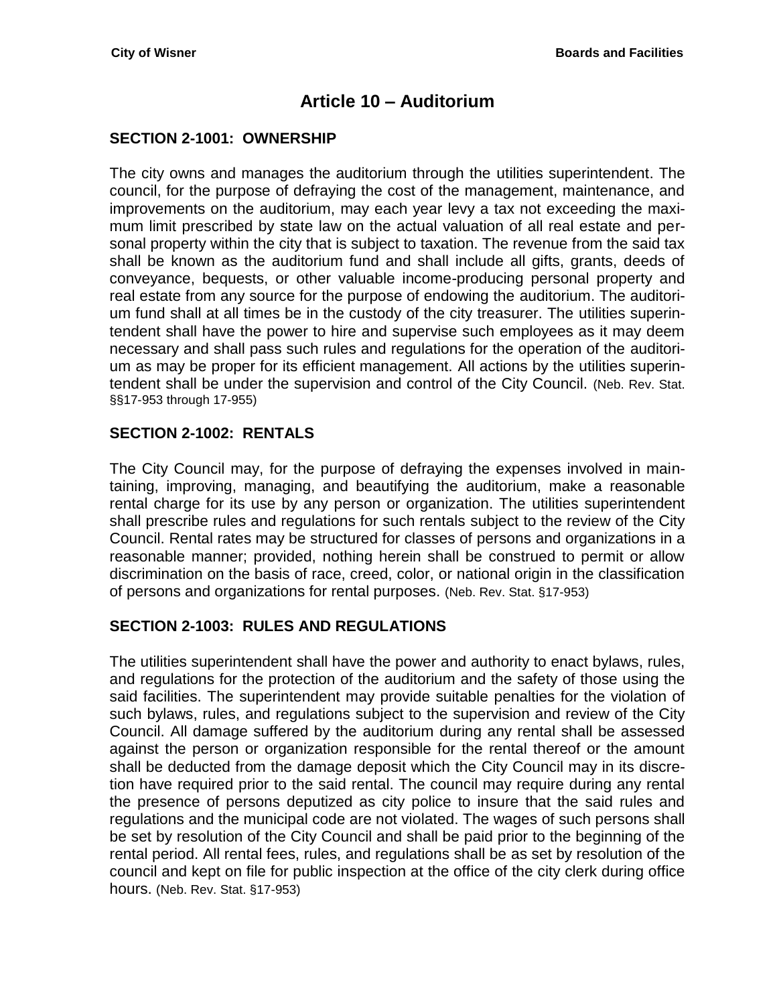## **Article 10 – Auditorium**

#### <span id="page-34-1"></span><span id="page-34-0"></span>**SECTION 2-1001: OWNERSHIP**

The city owns and manages the auditorium through the utilities superintendent. The council, for the purpose of defraying the cost of the management, maintenance, and improvements on the auditorium, may each year levy a tax not exceeding the maximum limit prescribed by state law on the actual valuation of all real estate and personal property within the city that is subject to taxation. The revenue from the said tax shall be known as the auditorium fund and shall include all gifts, grants, deeds of conveyance, bequests, or other valuable income-producing personal property and real estate from any source for the purpose of endowing the auditorium. The auditorium fund shall at all times be in the custody of the city treasurer. The utilities superintendent shall have the power to hire and supervise such employees as it may deem necessary and shall pass such rules and regulations for the operation of the auditorium as may be proper for its efficient management. All actions by the utilities superintendent shall be under the supervision and control of the City Council. (Neb. Rev. Stat. §§17-953 through 17-955)

## <span id="page-34-2"></span>**SECTION 2-1002: RENTALS**

The City Council may, for the purpose of defraying the expenses involved in maintaining, improving, managing, and beautifying the auditorium, make a reasonable rental charge for its use by any person or organization. The utilities superintendent shall prescribe rules and regulations for such rentals subject to the review of the City Council. Rental rates may be structured for classes of persons and organizations in a reasonable manner; provided, nothing herein shall be construed to permit or allow discrimination on the basis of race, creed, color, or national origin in the classification of persons and organizations for rental purposes. (Neb. Rev. Stat. §17-953)

#### <span id="page-34-3"></span>**SECTION 2-1003: RULES AND REGULATIONS**

The utilities superintendent shall have the power and authority to enact bylaws, rules, and regulations for the protection of the auditorium and the safety of those using the said facilities. The superintendent may provide suitable penalties for the violation of such bylaws, rules, and regulations subject to the supervision and review of the City Council. All damage suffered by the auditorium during any rental shall be assessed against the person or organization responsible for the rental thereof or the amount shall be deducted from the damage deposit which the City Council may in its discretion have required prior to the said rental. The council may require during any rental the presence of persons deputized as city police to insure that the said rules and regulations and the municipal code are not violated. The wages of such persons shall be set by resolution of the City Council and shall be paid prior to the beginning of the rental period. All rental fees, rules, and regulations shall be as set by resolution of the council and kept on file for public inspection at the office of the city clerk during office hours. (Neb. Rev. Stat. §17-953)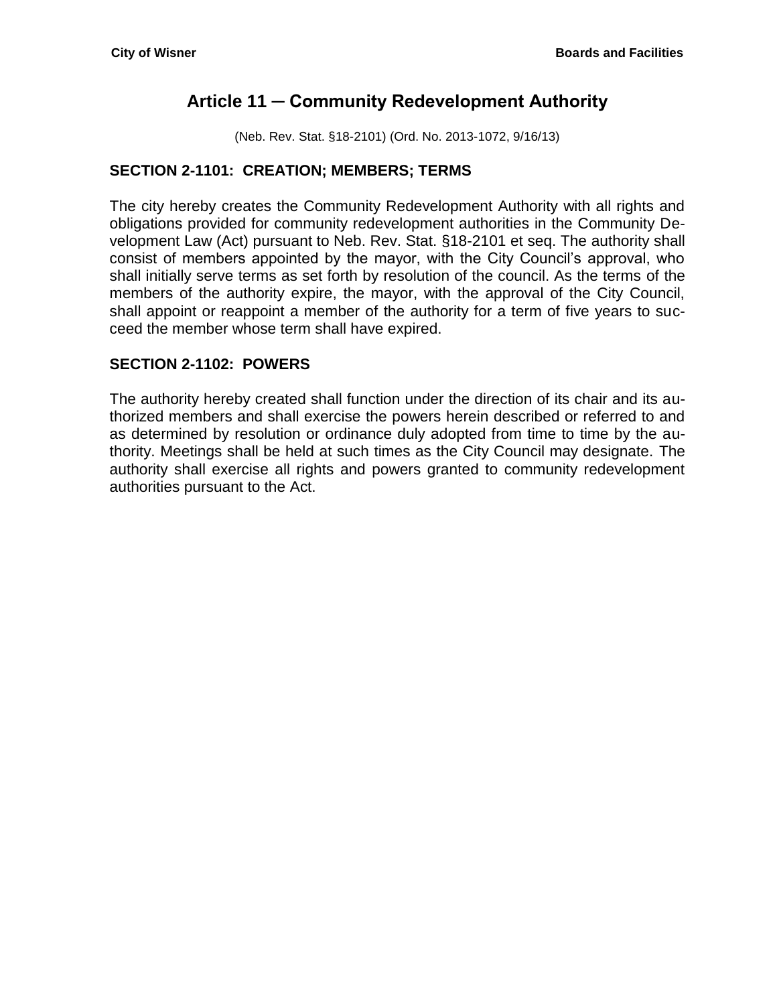# **Article 11 ─ Community Redevelopment Authority**

(Neb. Rev. Stat. §18-2101) (Ord. No. 2013-1072, 9/16/13)

## <span id="page-36-1"></span><span id="page-36-0"></span>**SECTION 2-1101: CREATION; MEMBERS; TERMS**

The city hereby creates the Community Redevelopment Authority with all rights and obligations provided for community redevelopment authorities in the Community Development Law (Act) pursuant to Neb. Rev. Stat. §18-2101 et seq. The authority shall consist of members appointed by the mayor, with the City Council's approval, who shall initially serve terms as set forth by resolution of the council. As the terms of the members of the authority expire, the mayor, with the approval of the City Council, shall appoint or reappoint a member of the authority for a term of five years to succeed the member whose term shall have expired.

## <span id="page-36-2"></span>**SECTION 2-1102: POWERS**

The authority hereby created shall function under the direction of its chair and its authorized members and shall exercise the powers herein described or referred to and as determined by resolution or ordinance duly adopted from time to time by the authority. Meetings shall be held at such times as the City Council may designate. The authority shall exercise all rights and powers granted to community redevelopment authorities pursuant to the Act.